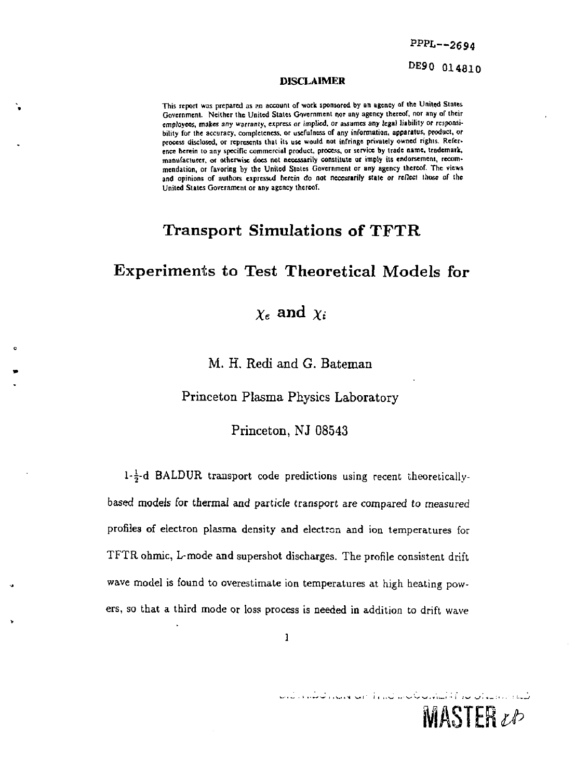PPPL--2694

DE90 014810

 $MASTER$ *zb* 

#### DISCLAIMER

**This report was prepared as an account of work sponsored by an agency of the United States**  Government. Neither the United States Government nor any agency thereof, nor any of their **employees, makes any warranty, express or implied, or assumes any legal liability or responsibility for the accuracy, completeness, or usefulness of any information, apparatus, product, or process disclosed, or represents that its use would not infringe privately owned rights. Reference herein to any specific commercial product, process, or service by trade name, trademark, manufacturer, or otherwise docs not necessarily constitute or imply its endorsement, recommendation, or favoring by the United Slates Government or any agency thereof. The views**  and opinions of authors expressed herein do not necessarily state or rellect those of the **United Stales Government or any agency thereof.** 

## Transport Simulations of TFTR

## Experiments to Test Theoretical Models for

# $\chi_e$  and  $\chi_i$

M. H. Redi and G. Bateman

Princeton Plasma Physics Laboratory

Princeton, NJ 08543

1- $\frac{1}{2}$ -d BALDUR transport code predictions using recent theoreticallybased modeis for thermal and particle transport are compared *to* measured profiles of electron plasma density and electron and ion temperatures for TFTR ohmic, L-mode and supershot discharges. The profile consistent drift wave model is found to overestimate ion temperatures at high heating powers, so that a third mode or loss process is needed in addition to drift wave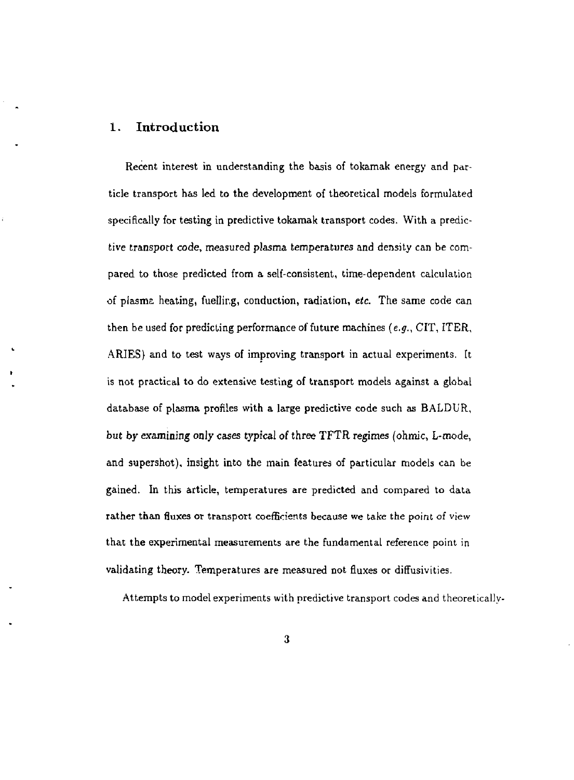### 1. Introduction

Recent interest in understanding the basis of tokamak energy and particle transport has led to the development of theoretical models formulated specifically for testing in predictive tokamak transport codes. With a predictive transport code, measured plasma temperatures and density can be compared to those predicted from a self-consistent, time-dependent calculation of plasma heating, fuelling, conduction, radiation, *etc.* The same code can then be used for predicting performance of future machines *(e.g.,* CIT, ITER, ARIES) and to test ways of improving transport in actual experiments. It is not practical to do extensive testing of transport models against a global database of plasma profiles with a large predictive code such as BALDUR, but by examining only cases typical of three TFTR regimes (ohmic, L-mode, and supershot), insight into the main features of particular models can be gained. In this article, temperatures are predicted and compared to data rather than fluxes or transport coefficients because we take the point of view that the experimental measurements are the fundamental reference point in validating theory. Temperatures are measured not fluxes or diffusivities.

Attempts to model experiments with predictive transport codes and theoretically-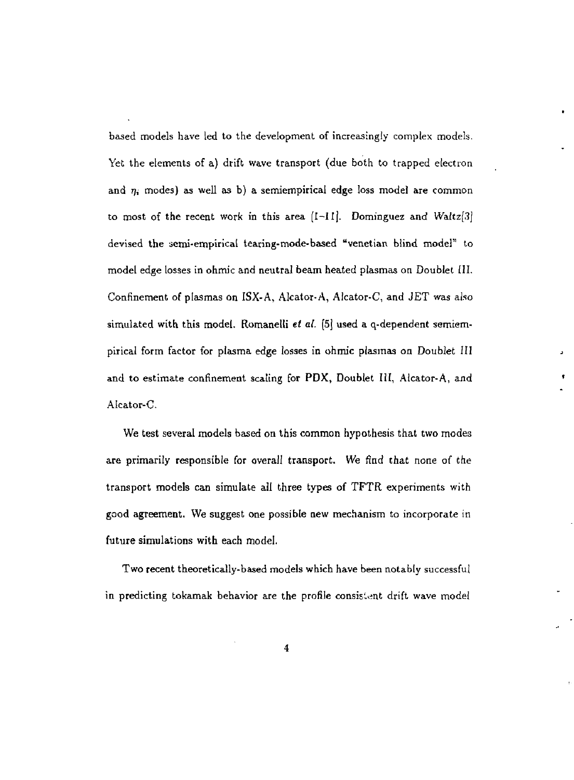based models have led to the development of increasingly complex models. Yet the elements of a) drift wave transport (due both to trapped electron and  $\eta_i$  modes) as well as b) a semiempirical edge loss model are common to most of the recent work in this area  $[-11]$ . Dominguez and Waltz $[3]$ devised the semi-empirical tearing-mode-based "Venetian blind model" to model edge losses in ohmic and neutral beam heated plasmas on Doublet [II. Confinement of plasmas on ISX-A, Alcator-A, Alcator-C, and JET was also simulated with this model. Romanelli et al. [5] used a q-dependent semiempirical form factor for plasma edge losses in ohmic plasmas on Doublet III and to estimate confinement scaling for PDX, Doublet III, Alcator-A, and Alcator-C.

We test several models based on this common hypothesis that two modes are primarily responsible for overall transport. We find that none of the transport models can simulate all three types of TFTR experiments with good agreement. We suggest one possible new mechanism to incorporate in future simulations with each model.

Two recent theoretically-based models which have been notably successful in predicting tokamak behavior are the profile consistent drift wave model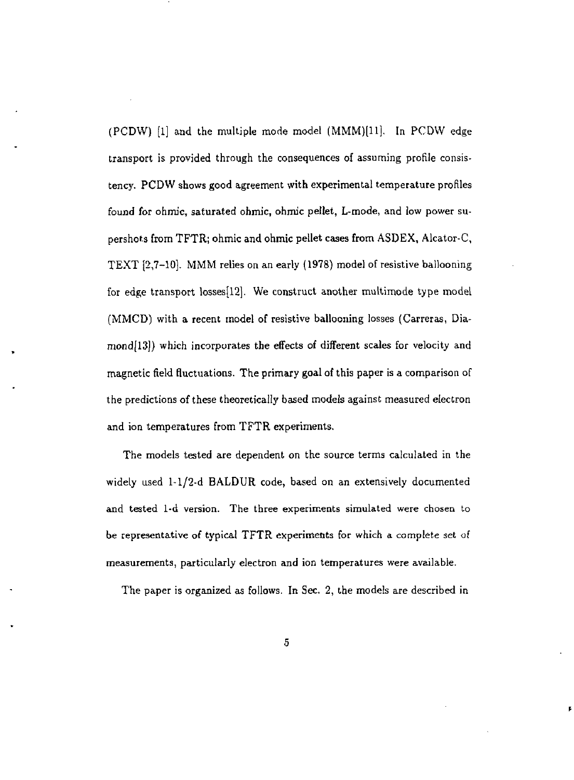(PCDW) [1] and the multiple mode model (MMM)(11], In PCDW edge transport is provided through the consequences of assuming profile consistency. PCDW shows good agreement with experimental temperature profiles found for ohmic, saturated ohmic, ohmic pellet, L-mode, and low power supershots from TFTR; ohmic and ohmic pellet cases from ASDEX, Alcator-C, TEXT [2,7-10]. MMM relies on an early (1978) model of resistive ballooning for edge transport losses[12]. We construct another multimode type model (MMCD) with a recent model of resistive ballooning losses (Carreras, Diamond[13]) which incorporates the effects of different scales for velocity and magnetic field fluctuations. The primary goal of this paper is a comparison of the predictions of these theoretically based models against measured electron and ion temperatures from TFTR experiments.

The models tested are dependent on the source terms calculated in the widely used 1-1/2-d BALDUR code, based on an extensively documented and tested 1-d version. The three experiments simulated were chosen to be representative of typical TFTR experiments for which a complete set of measurements, particularly electron and ion temperatures were available.

The paper is organized as follows. In Sec. 2, the models are described in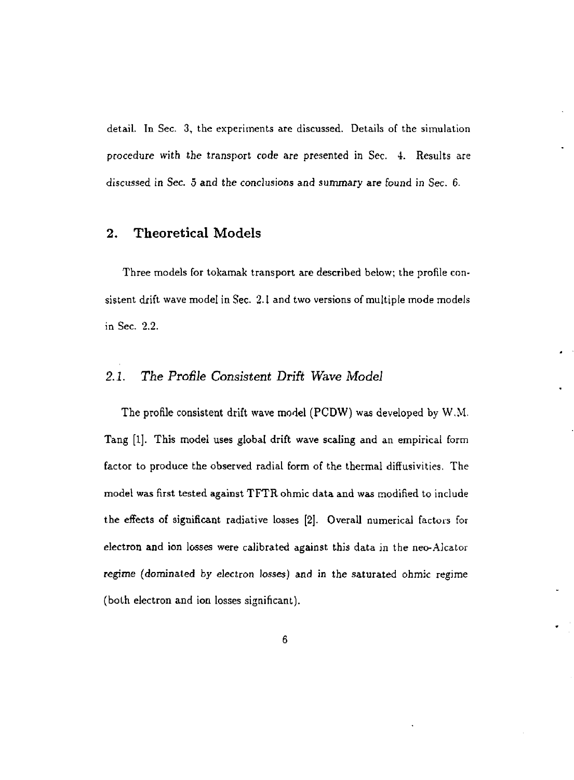detail. In Sec. 3, the experiments are discussed. Details of the simulation procedure with the transport code are presented in Sec. 4. Results are discussed in Sec. 5 and the conclusions and summary are found in Sec. 6.

#### **2. Theoretical Models**

Three models for tokamak transport are described below; the profile consistent drift wave model in Sec. 2.1 and two versions of multiple mode models in Sec. 2.2.

#### *2.1. The Profile Consistent Drift Wave Model*

The profile consistent drift wave model (PCDW) was developed by W.M. Tang [1]. This model uses global drift wave scaling and an empirical form factor to produce the observed radial form of the thermal diffusivities. The model was first tested against TFTRohmic data and was modified to include the effects of significant radiative losses [2]. Overall numerical factors for electron and ion losses were calibrated against this data in the neo-Aicator regime (dominated by electron losses) and in the saturated ohmic regime (both electron and ion losses significant).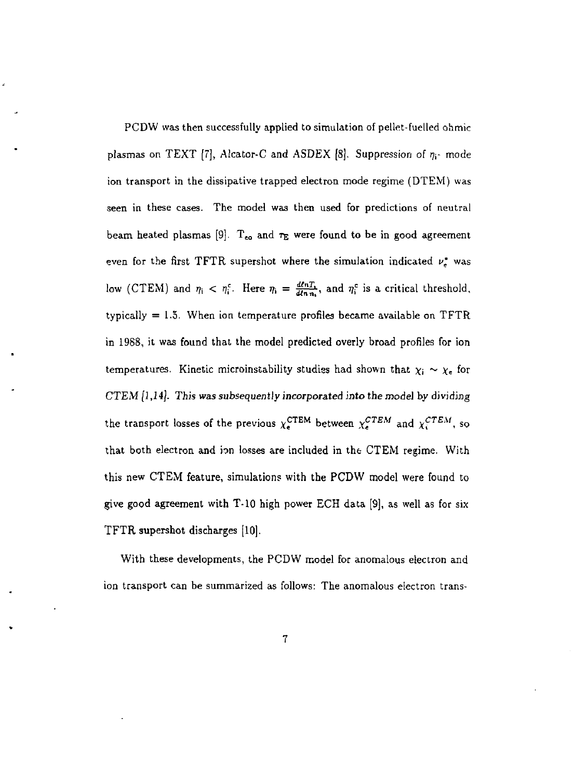PCDW was then successfully applied to simulation of pellet-fuelled ohmic plasmas on TEXT [7], Alcator-C and ASDEX  $[8]$ . Suppression of  $\eta_i$ - mode ion transport in the dissipative trapped electron mode regime (DTEM) was seen in these cases. The model was then used for predictions of neutral beam heated plasmas [9].  $\rm T_{eo}$  and  $\rm \tau_{E}$  were found to be in good agreement even for the first TFTR supershot where the simulation indicated *v'<sup>t</sup>* was low (CTEM) and  $\eta_i < \eta_i^c$ . Here  $\eta_i = \frac{d\ell n T_i}{d\ell n n_i}$ , and  $\eta_i^c$  is a critical threshold, typically  $= 1.5$ . When ion temperature profiles became available on TFTR in 1988, it was found that the model predicted overly broad profiles for ion temperatures. Kinetic microinstability studies had shown that  $\chi_i \sim \chi_e$  for CTEM *[1,14]. This was subsequently incorporated into* the model by dividing the transport losses of the previous  $\chi_{\bullet}^{\text{CTEM}}$  between  $\chi_{\bullet}^{\text{CTEM}}$  and  $\chi_{\bullet}^{\text{CTEM}}$ , so that both electron and ion losses are included in the CTEM regime. With this new CTEM feature, simulation? with the PCDW model were found to give good agreement with T-10 high power ECH data [9], as well as for six TFTR supershot discharges [10].

With these developments, the PCDW model for anomalous electron and ion transport can be summarized as follows: The anomalous electron trans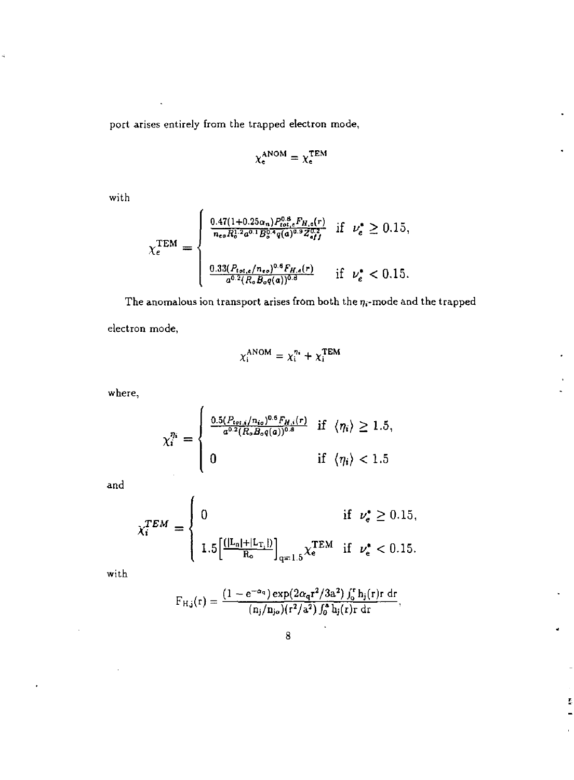port arises entirely from the trapped electron mode,

$$
\chi^{\rm ANOM}_{\rm e} = \chi^{\rm TEM}_{\rm e}
$$

with

$$
\chi_{e}^{\text{TEM}} = \begin{cases} \frac{0.47(1+0.25\alpha_{n})P_{tot}^{0.8}{}_{e}F_{H,\alpha}(r)}{n_{eo}R_{o}^{1.2}a^{0.1}B_{o}^{0.4}q(a)^{0.9}Z_{eff}^{0.2}} & \text{if } \nu_{e}^{*} \geq 0.15, \\ & \\ \frac{0.33(P_{tot,e}/n_{eo})^{0.6}F_{H,\alpha}(r)}{a^{0.2}(R_{o}B_{o}q(a))^{0.8}} & \text{if } \nu_{e}^{*} < 0.15. \end{cases}
$$

The anomalous ion transport arises from both the  $\eta_i$ -mode and the trapped electron mode,

$$
\chi_i^{\text{ANOM}} = \chi_i^{n_i} + \chi_i^{\text{TEM}}
$$

where,

$$
\chi_i^{\eta_i} = \begin{cases} \frac{0.5(P_{tot,i}/n_{io})^{0.6} F_{H,i}(r)}{a^{0.2}(R_o B_o q(a))^{0.8}} & \text{if } \langle \eta_i \rangle \ge 1.5, \\ 0 & \text{if } \langle \eta_i \rangle < 1.5 \end{cases}
$$

and

$$
\chi_i^{TEM} = \begin{cases} 0 & \text{if } \nu_e^* \ge 0.15, \\ 1.5 \left[ \frac{(|L_n| + |L_{T_1}|)}{R_o} \right]_{q=1.5} \chi_e^{TEM} & \text{if } \nu_e^* < 0.15. \end{cases}
$$

with

$$
F_{H,j}(r) = \frac{(1 - e^{-\alpha_q}) \exp(2\alpha_q r^2/3a^2) \int_0^r h_j(r) r dr}{(n_j/n_{jo}) (r^2/a^2) \int_0^a h_j(r) r dr}.
$$

ŗ,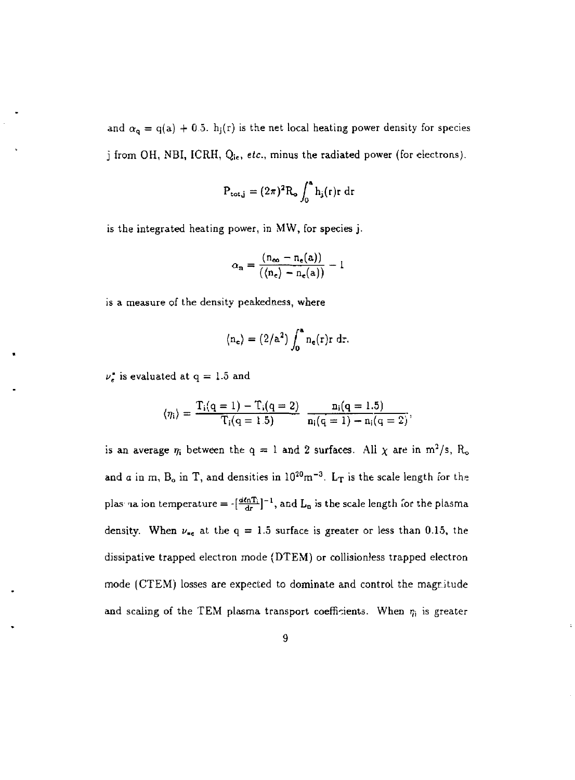and  $\alpha_{q} = q(a) + 0.5$ . h<sub>j</sub>(r) is the net local heating power density for species j from OH, NBI, ICRH, *Q\<sup>c</sup> , etc.,* minus the radiated power (for electrons).

$$
P_{\text{tot},j} = (2\pi)^2 R_o \int_0^a h_j(r) r dr
$$

is the integrated heating power, in MW, for species j.

$$
\alpha_{\mathbf{n}} = \frac{(\mathbf{n}_{\infty} - \mathbf{n}_{\mathbf{e}}(\mathbf{a}))}{(\langle \mathbf{n}_{\mathbf{e}} \rangle - \mathbf{n}_{\mathbf{e}}(\mathbf{a}) )} - 1
$$

is a measure of the density peakedness, where

$$
\langle n_e \rangle = (2/a^2) \int_0^a n_e(r) r \, dr.
$$

 $\nu_e^*$  is evaluated at q = 1.5 and

$$
\langle \eta_i \rangle = \frac{T_i(q=1) - T_i(q=2)}{T_i(q=1.5)} \frac{n_i(q=1.5)}{n_i(q=1) - n_i(q=2)},
$$

is an average  $\eta_i$  between the q = 1 and 2 surfaces. All  $\chi$  are in m<sup>2</sup>/s, R<sub>o</sub> and a in m,  $B_0$  in T, and densities in  $10^{20}$ m<sup>-3</sup>. L<sub>T</sub> is the scale length for the plas na ion temperature =  $\frac{a n T_i}{d r}$ ]<sup>-1</sup>, and  $L_n$  is the scale length for the plasma density. When  $\nu_{\rm sc}$  at the q = 1.5 surface is greater or less than 0.15, the dissipative trapped electron mode (DTEM) or collisioniess trapped electron mode (CTEM) losses are expected to dominate and control the magnitude and scaling of the TEM plasma transport coefficients. When  $r_i$  is greater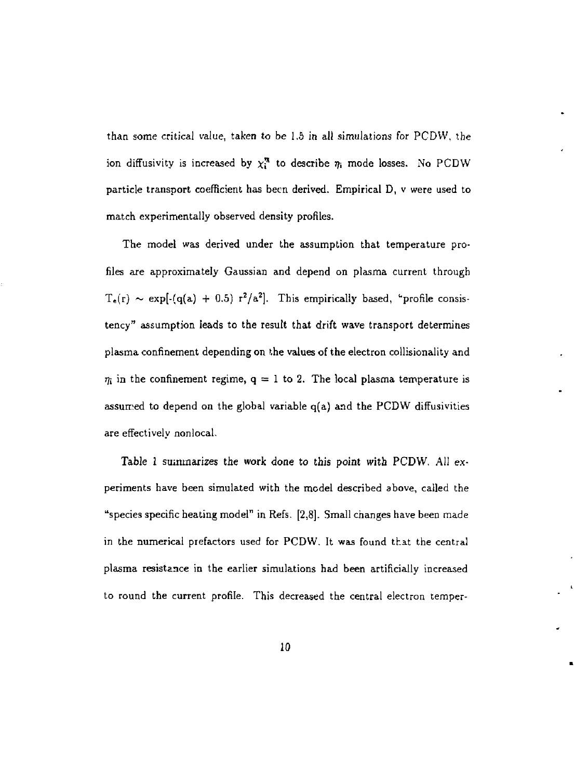than some critical value, taken to be 1.5 in all simulations for PCDW, the ion diffusivity is increased by  $\chi_i^n$  to describe  $\eta_i$  mode losses. No PCDW particle transport coefficient has been derived. Empirical D, v were used to match experimentally observed density profiles.

The model was derived under the assumption that temperature profiles are approximately Gaussian and depend on plasma current through  $T_e(r) \sim \exp[-(q(a) + 0.5) r^2/a^2]$ . This empirically based, "profile consistency" assumption leads to the result that drift wave transport determines plasma confinement depending on the values of the electron collisionality and  $\eta_i$  in the confinement regime,  $q = 1$  to 2. The local plasma temperature is assumed to depend on the global variable q(a) and the PCDW diffusivities are effectively nonlocal.

Table 1 summarizes the work done to this point with PCDW. All experiments have been simulated with the model described above, called the "species specific heating model" in Refs. [2,8]. Small changes have been made in the numerical prefactors used for PCDW. It was found that the central plasma resistance in the earlier simulations had been artificially increased to round the current profile. This decreased the central electron temper-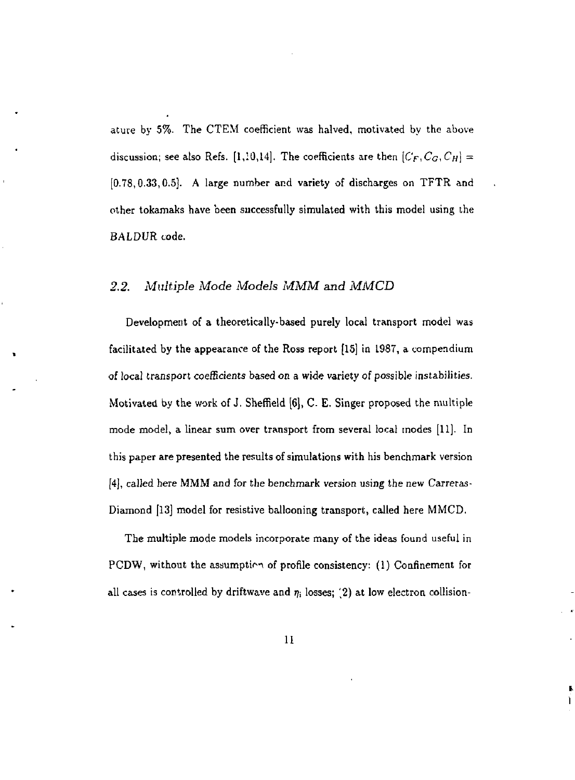ature by 5%. The CTEM coefficient was halved, motivated by the above discussion; see also Refs. [1,10,14]. The coefficients are then  $[C_F, C_G, C_H] =$ [0.78,0.33,0.5]. A large number and variety of discharges on TFTR and other tokamaks have been successfully simulated with this model using the *BALDVR* code.

#### *2.2. Multiple Mode Models MMM and MMCD*

Development of a theoretically-based purely local transport model was facilitated by the appearance of the Ross report [15] in 1987, a compendium of local transport coefficients based on a wide variety of possible instabilities. Motivated by the work of J. Sheffield [6], C E. Singer proposed the multiple mode model, a linear sum over transport from several local modes [11]. In this paper are presented the results of simulations with his benchmark version [4], called here MMM and for the benchmark version using the new Carreras-Diamond [13] model for resistive ballooning transport, called here MMCD.

The multiple mode models incorporate many of the ideas found useful in PCDW, without the assumption of profile consistency:  $(1)$  Confinement for all cases is controlled by driftwave and  $\eta_i$  losses; (2) at low electron collision-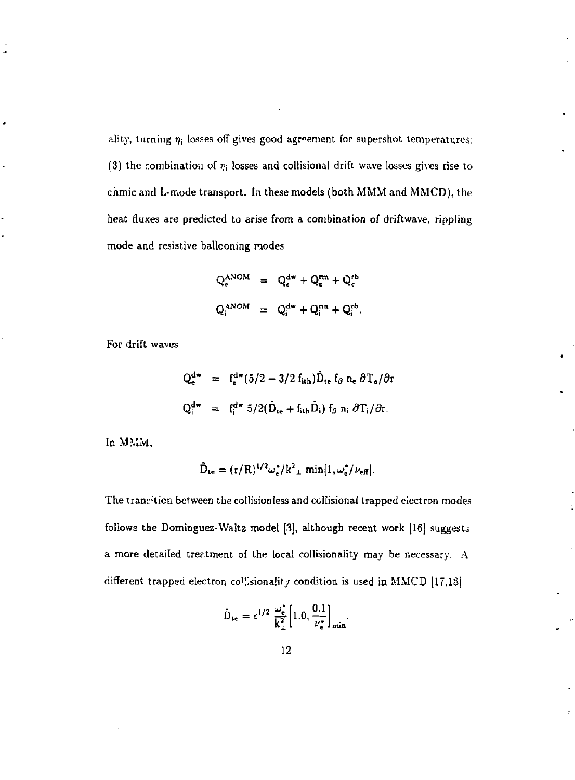ality, turning  $\eta_i$  losses off gives good agreement for supershot temperatures: (3) the combination of  $r_i$  losses and collisional drift wave losses gives rise to chmic and L-mode transport. In these models (both MMM and MMCD), the heat fluxes are predicted to arise from a conibinaticn of driftwave, rippling mode and resistive ballooning modes

$$
Q_e^{ANOM} = Q_e^{dw} + Q_e^{rm} + Q_e^{tb}
$$

$$
Q_i^{ANOM} = Q_i^{dw} + Q_i^{pm} + Q_i^{tb}.
$$

For drift waves

ä

$$
Q_{e}^{dw} = f_{e}^{dw} (5/2 - 3/2 f_{ith}) \hat{D}_{te} f_{\beta} n_{e} \partial T_{e} / \partial r
$$
  

$$
Q_{i}^{dw} = f_{i}^{dw} 5/2 (\hat{D}_{te} + f_{ith} \hat{D}_{i}) f_{\beta} n_{i} \partial T_{i} / \partial r.
$$

In MMM,

$$
\hat{D}_{te} = (r/R)^{1/2} \omega_e^{\bullet}/k^2_{\perp} \min[1, \omega_e^{\bullet}/\nu_{eff}].
$$

The transition between the collisionless and collisionat trapped electron modes follows the Dominguez-Waltz model [3], although recent work [16] suggests a more detailed treatment of the local collisionality may be necessary. A different trapped electron co<sup>1</sup>!.sionalit<sub>J</sub> condition is used in MMCD [17,18]

$$
\hat{D}_{\rm te} = \epsilon^{1/2} \; \frac{\omega_{\rm e}^*}{k_\perp^2} \bigg[ 1.0, \frac{0.1}{\nu_{\rm e}^*} \bigg]_{\rm min}.
$$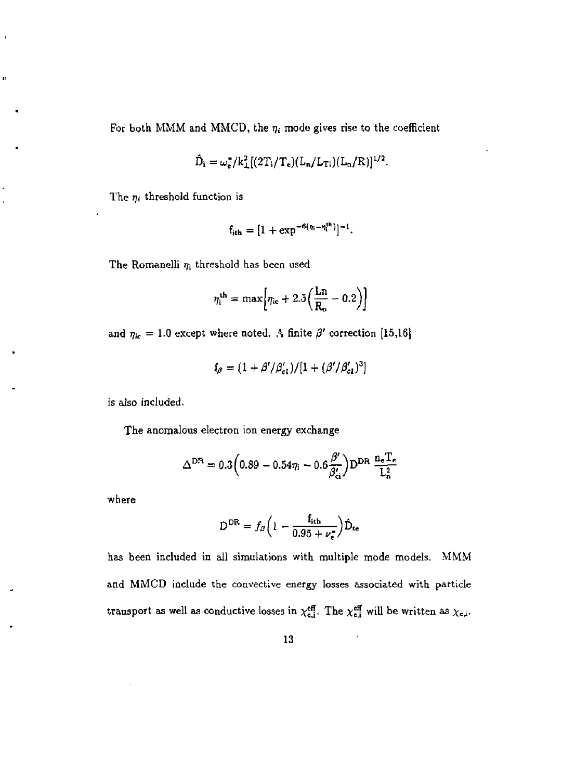For both MMM and MMCD, the  $\eta_i$  mode gives rise to the coefficient

$$
\hat{D}_i = \omega_{\rm e}^*/k_{\rm L}^2[(2T_i/T_{\rm e})(L_{\rm n}/L_{\rm Ti})(L_{\rm n}/R)]^{1/2}.
$$

The  $\eta_i$  threshold function is

j.

$$
f_{ith}=[1+\exp^{-6(\eta_i-\eta_i^{th})}]^{-1}.
$$

The Romanelli *rji* threshold has been used

$$
\eta_i^{\text{th}} = \max \Big[ \eta_{\text{ic}} + 2.5 \Big( \frac{\text{Ln}}{\text{R}_o} - 0.2 \Big) \Big]
$$

and  $\eta_{ic} = 1.0$  except where noted. A finite  $\beta'$  correction [15,16]

$$
f_{\beta} = (1 + \beta'/\beta'_{\text{cl}})/[1 + (\beta'/\beta'_{\text{cl}})^3]
$$

is also included.

The anomalous electron ion energy exchange

$$
\Delta^{\rm DR} = 0.3 \left( 0.89 - 0.54 \eta_i - 0.6 \frac{\beta'}{\beta'_{ci}} \right) \mathbf{D}^{\rm DR} \frac{\mathbf{n_e} \mathbf{T_e}}{\mathbf{L_a^2}}
$$

where

$$
\mathbf{D}^{\mathrm{DR}} = f_{\beta} \left( 1 - \frac{\mathbf{f}_{\mathrm{ith}}}{0.95 + \nu_{\mathrm{c}}^{2}} \right) \hat{\mathbf{D}}_{\mathrm{te}}
$$

has been included in all simulations with multiple mode models. MMM and MMCD include the convective energy losses associated with particle transport as well as conductive losses in  $\chi_{e,i}^{eff}$ . The  $\chi_{e,i}^{eff}$  will be written as  $\chi_{e,i}$ .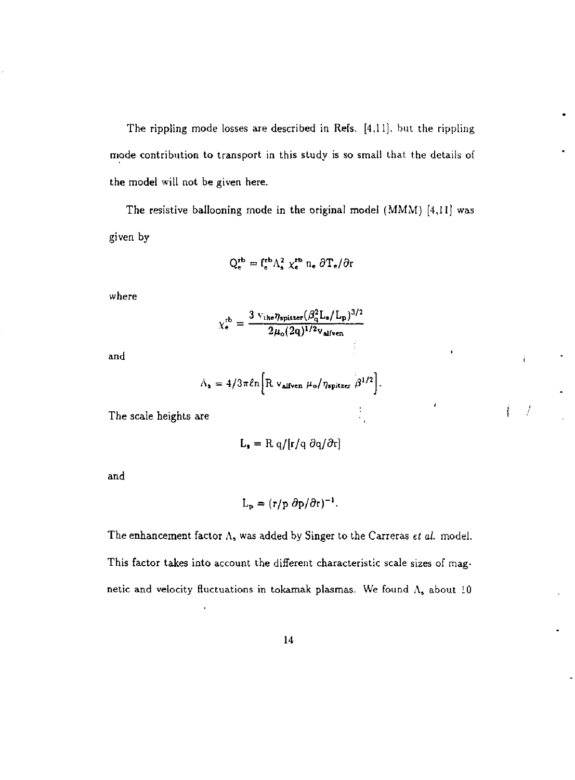The rippling mode losses are described in Refs. [4,11], but the rippling mode contribution to transport in this study is so small that the details of the model will not be given here.

The resistive ballooning mode in the original model (MMM) [4,11] was given by

$$
Q_{\mathbf{e}}^{\mathbf{r}\mathbf{b}} = f_{\mathbf{e}}^{\mathbf{r}\mathbf{b}} \Lambda_{\mathbf{s}}^2 \ \chi_{\mathbf{e}}^{\mathbf{r}\mathbf{b}} \ \mathbf{n}_{\mathbf{e}} \ \partial \mathbf{T}_{\mathbf{e}} / \partial \mathbf{r}
$$

where

$$
\chi_{\rm e}^{\rm rb} = \frac{3 \ v_{\rm the} \eta_{\rm spitzer} (\beta_{\rm q}^2 \text{L}_{\rm s}/\text{L}_{\rm p})^{3/2}}{2 \mu_{\rm o} (2 \text{q})^{1/2} \text{v}_{\rm after}}
$$

Ť

 $\frac{1}{2}$ 

Ť  $\int$ 

and

$$
\Lambda_{\rm s}=4/3\pi\ell n\bigg[\mathrm{R}\,\mathrm{v}_{\rm allven}\,\mu_{\rm o}/\eta_{\rm spitzer}\,\beta^{1/2}\bigg].
$$

The scale heights are

$$
L_{\bullet} = R q/[r/q \partial q/\partial r]
$$

and

$$
L_{\rm p} = (r/p \ \partial p/\partial r)^{-1}.
$$

The enhancement factor A, was added by Singer to the Carreras *et ai.* model. This factor takes into account the different characteristic scale sizes of magnetic and velocity fluctuations in tokamak plasmas. We found  $\Lambda_s$  about 10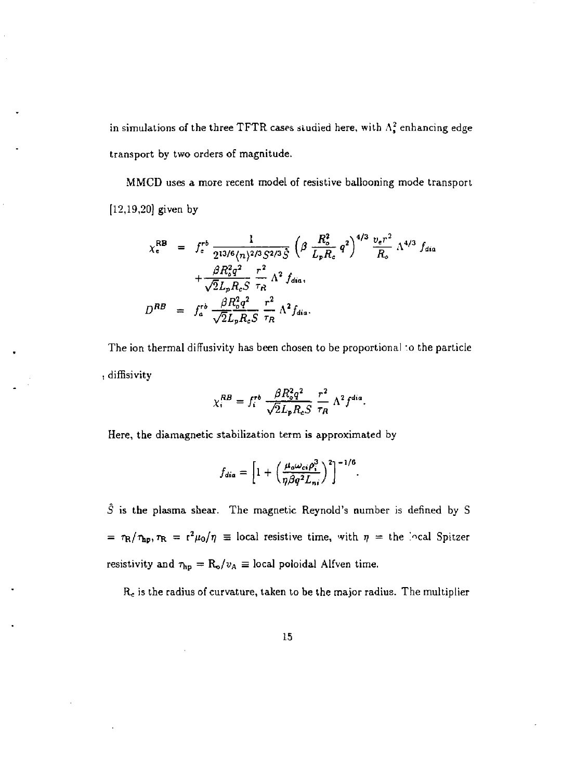in simulations of the three TFTR cases studied here, with  $\Lambda_s^2$  enhancing edge transport by two orders of magnitude.

MMCD uses a more recent model of resistive ballooning mode transport [12,19,20] given by

$$
\chi_{e}^{RB} = f_{e}^{rb} \frac{1}{2^{13/6} \langle n \rangle^{2/3} S^{2/3} \hat{S}} \left( \beta \frac{R_{o}^{2}}{L_{p} R_{c}} q^{2} \right)^{4/3} \frac{v_{e} r^{2}}{R_{o}} \Lambda^{4/3} f_{dia} + \frac{\beta R_{o}^{2} q^{2}}{\sqrt{2} L_{p} R_{c} S} \frac{r^{2}}{\tau_{R}} \Lambda^{2} f_{dia},
$$
\n
$$
D^{RB} = f_{a}^{rb} \frac{\beta R_{o}^{2} q^{2}}{\sqrt{2} L_{p} R_{c} S} \frac{r^{2}}{\tau_{R}} \Lambda^{2} f_{dia}.
$$

The ion thermal diffusivity has been chosen to be proportional *:o* the particle diffisivity

$$
\chi_i^{RB} = f_i^{rb} \frac{\beta R_o^2 q^2}{\sqrt{2}L_p R_c S} \frac{r^2}{\tau_R} \Lambda^2 f^{dia}.
$$

Here, the diamagnetic stabilization term is approximated by

$$
f_{dia} = \left[1 + \left(\frac{\mu_o \omega_{ci} \rho_i^3}{\eta \beta q^2 L_{ni}}\right)^2\right]^{-1/6}.
$$

*S* is the plasma shear. The magnetic Reynold's number is defined by S  $=\tau_{\rm R}/\tau_{\rm hp}, \tau_{\rm R} = r^2\mu_0/\eta$  = local resistive time, with  $\eta$  = the local Spitzer resistivity and  $\tau_{\rm hp} = R_{\rm o}/v_{\rm A} \equiv$  local poloidal Alfven time.

*Re* is the radius of curvature, taken to be the major radius. The multiplier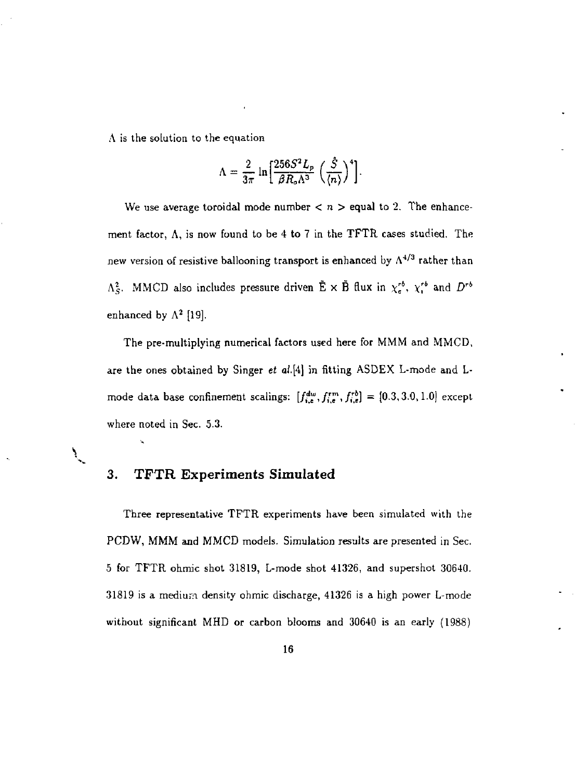A is the solution to the equation

$$
\Lambda = \frac{2}{3\pi} \ln \left[ \frac{256S^2 L_p}{\beta R_o \Lambda^3} \left( \frac{S}{\langle n \rangle} \right)^4 \right].
$$

We use average toroidal mode number  $\langle n \rangle$  equal to 2. The enhancement factor, A, is now found to be 4 to 7 in the TFTR cases studied. The new version of resistive ballooning transport is enhanced by  $\Lambda^{4/3}$  rather than  $\Lambda_S^2$ . MMCD also includes pressure driven  $\tilde{E} \times \tilde{B}$  flux in  $\chi_c^{rb}$ ,  $\chi_i^{rb}$  and  $D^{rb}$ enhanced by  $\Lambda^2$  [19].

The pre-multiplying numerical factors used here for MMM and MMCD, are the ones obtained by Singer *et al.[A\* in fitting ASDEX L-mode and Lmode data base confinement scalings:  $[f_{i,e}^{dw}, f_{i,e}^{rw}, f_{i,e}^{ro}] = [0.3, 3.0, 1.0]$  except where noted in Sec. 5.3.

#### 3. TFTR Experiments Simulated

 $\sum_{i=1}^{n}$ 

Three representative TFTR experiments have been simulated with the PCDW, MMM and MMCD models. Simulation results are presented in Sec. 5 for TFTR ohmic shot 31819, L-mode shot 41326, and supershot 30640. 31819 is a medium density ohmic discharge, 41326 is a high power L-mode without significant MHD or carbon blooms and 30640 is an early (1988)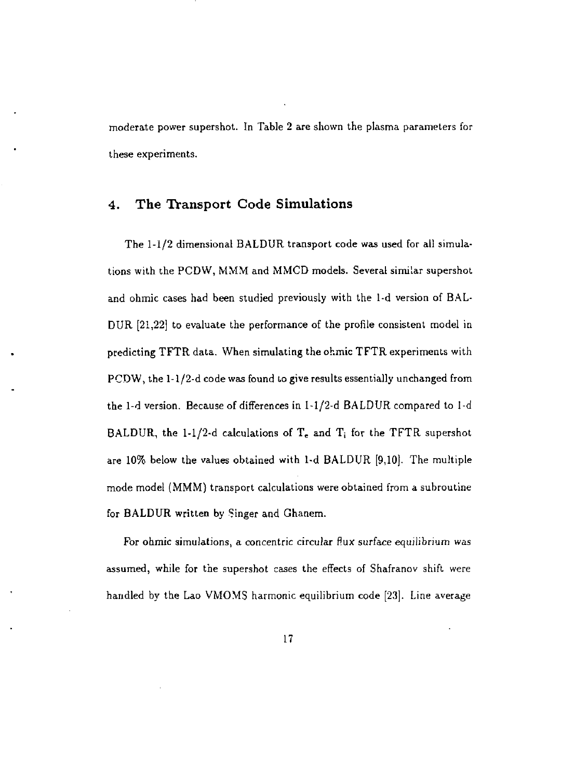moderate power supershot. In Table 2 are shown the plasma parameters for these experiments.

#### 4. The Transport Code Simulations

The 1-1/2 dimensional BALDUR transport code was used for all simulations with the PCDW, MMM and MMCD models. Several similar supershot and ohmic cases had been studied previously with the 1-d version of BAL-DUR [21,22] to evaluate the performance of the profile consistent model in predicting TFTR data. When simulating the ohmic TFTR experiments with PCDW, the 1-1/2-d code was found to give results essentially unchanged from the 1-d version. Because of differences in 1-1/2-d BALDUR compared to 1-d BALDUR, the 1-1/2-d calculations of  $T<sub>e</sub>$  and  $T<sub>i</sub>$  for the TFTR supershot are 10% below the values obtained with 1-d BALDUR [9,10]. The multiple mode model (MMM) transport calculations were obtained from a subroutine for BALDUR written by Singer and Ghanem.

For ohmic simulations, a concentric circular flux surface equilibrium was assumed, while for the supershot cases the effects of Shafranov shift were handled by the Lao VMOMS harmonic equilibrium code [23]. Line average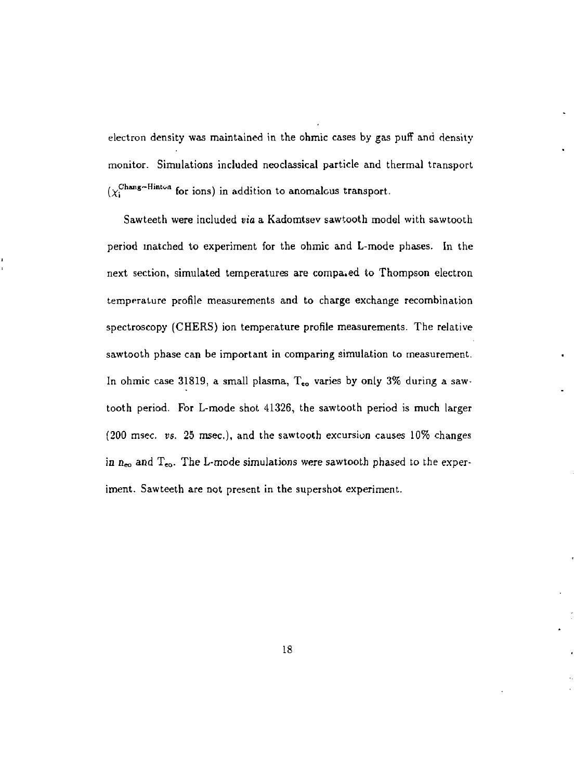electron density was maintained in the ohmic cases by gas puff and density monitor. Simulations included neoclassical particle and thermal transport  $(y_i^{\text{Chang-Hinton}}$  for ions) in addition to anomalous transport.

Sawteeth were included *via* a Kadomtsev sawtooth model with sawtooth period matched to experiment for the ohmic and L-mode phases. In the next section, simulated temperatures are compa.ed to Thompson electron temperature profile measurements and to charge exchange recombination spectroscopy (CHERS) ion temperature profile measurements. The relative sawtooth phase can be important in comparing simulation to measurement. In ohmic case 31819, a small plasma,  $T_{\epsilon o}$  varies by only 3% during a sawtooth period. For L-mode shot 41326, the sawtooth period is much larger (200 msec. vs. 25 msec), and the sawtooth excursion causes 10% changes in  $n_{eo}$  and  $T_{eo}$ . The L-mode simulations were sawtooth phased to the experiment. Sawteeth are not present in the supershot experiment.

18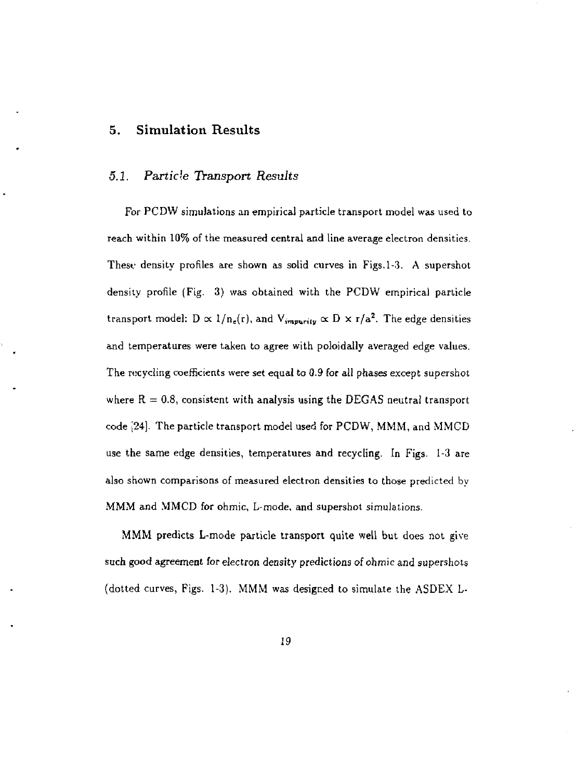#### 5. Simulation Results

#### *5.1. Particle Transport Results*

For PCDW simulations an empirical particle transport model was used to reach within 10% of the measured central and line average electron densities. These density profiles are shown as solid curves in Figs. 1-3. A supershot density profile (Fig. 3) was obtained with the PCDW empirical particle transport model:  $D \propto 1/n_e(r)$ , and  $V_{impurity} \propto D \times r/a^2$ . The edge densities and temperatures were taken to agree with poloidally averaged edge values. The recycling coefficients were set equal to 0.9 for all phases except supershot where  $R = 0.8$ , consistent with analysis using the DEGAS neutral transport code [24]. The particle transport model used for PCDW, MMM, and MMCD use the same edge densities, temperatures and recycling. In Figs. 1-3 are also shown comparisons of measured electron densities to those predicted by MMM and MMCD for ohmic, L-mode, and supershot simulations.

MMM predicts L-mode particle transport quite well but does not give such good agreement for electron density predictions of ohmic and supershots (dotted curves, Figs. 1-3). MMM was designed to simulate the ASDEX L-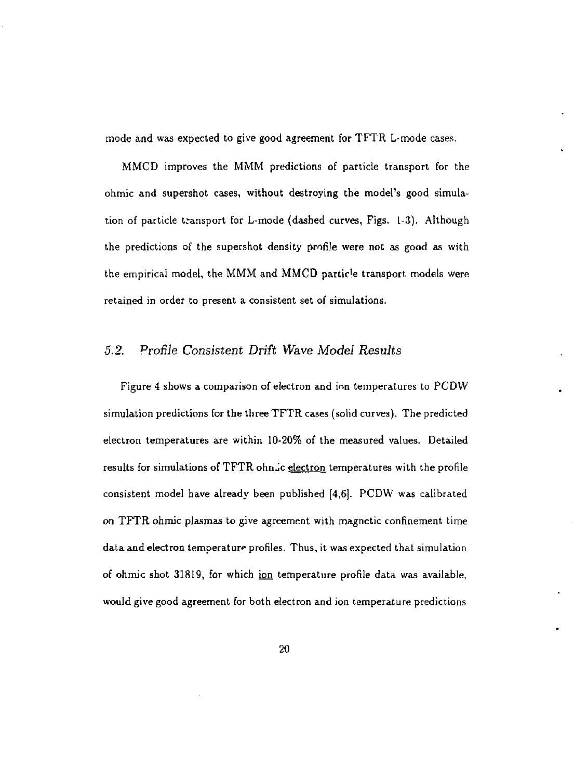mode and was expected to give good agreement for TFTR L-mode cases,

MMCD improves the MMM predictions of particle transport for the ohmic and supershot cases, without destroying the model's good simulation of particle transport for L-mode (dashed curves, Figs. 1-3). Although the predictions of the supershot density profile were not as good as with the empirical model, the MMM and MMCD particle transport models were retained in order to present a consistent set of simulations.

#### *5.2. Profile Consistent Drift Wave Model Results*

Figure 4 shows a comparison of electron and ion temperatures to PCDW simulation predictions for the three TFTR cases (solid curves). The predicted electron temperatures are within 10-20% of the measured values. Detailed results for simulations of TFTR ohn<sub>10</sub>c electron temperatures with the profile consistent model have already been published [4,6]. PCDW was calibrated on TFTR ohmic plasmas to give agreement with magnetic confinement time data and electron temperature profiles. Thus, it was expected that simulation of ohmic shot 31819, for which ion temperature profile data was available, would give good agreement for both electron and ion temperature predictions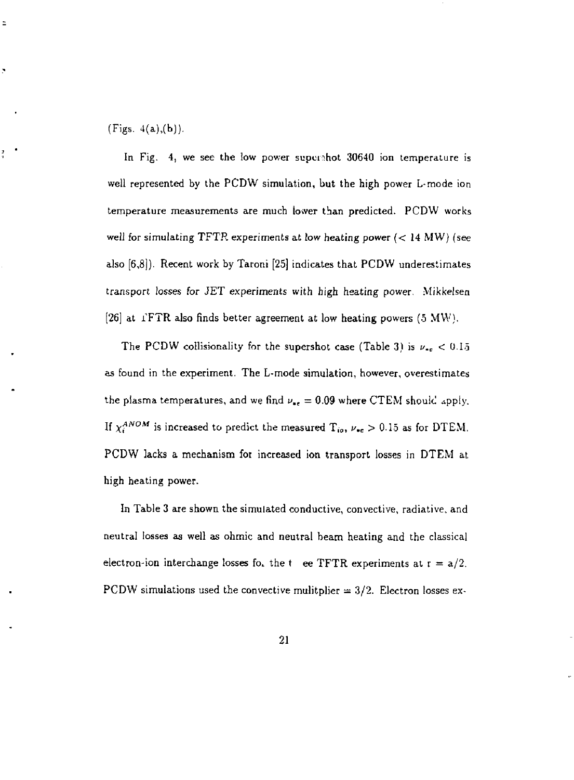(Figs.  $4(a),(b)$ ).

÷

ľ

In Fig. 4, we see the low power superatot 30640 ion temperature is well represented by the PCDW simulation, but the high power L-mode ion temperature measurements are much lower than predicted. PCDW works well for simulating TFTR experiments at low heating power  $(< 14 MW)$  (see also [6,8])- Recent work by Taroni [25] indicates that PCDW underestimates transport losses for JET experiments with high heating power. Mikkelsen [26] at  $I$ FTR also finds better agreement at low heating powers (5 MW).

The PCDW collisionality for the supershot case (Table 3) is  $\nu_{\text{ce}} < 0.15$ as found in the experiment. The L-mode simulation, however, overestimates the plasma temperatures, and we find  $\nu_{\rm sc} = 0.09$  where CTEM should apply. If  $\chi_i^{ANOM}$  is increased to predict the measured  $\rm T_{io},$   $\nu_{\bullet c} > 0.15$  as for DTEM. PCDW lacks a mechanism foi increased ion transport losses in DTEM at high heating power.

In Table 3 are shown the simulated conductive, convective, radiative, and neutral losses as well as ohmic and neutral beam heating and the classical electron-ion interchange losses fo. the t ee TFTR experiments at  $r = a/2$ . PCDW simulations used the convective mulitplier  $= 3/2$ . Electron losses ex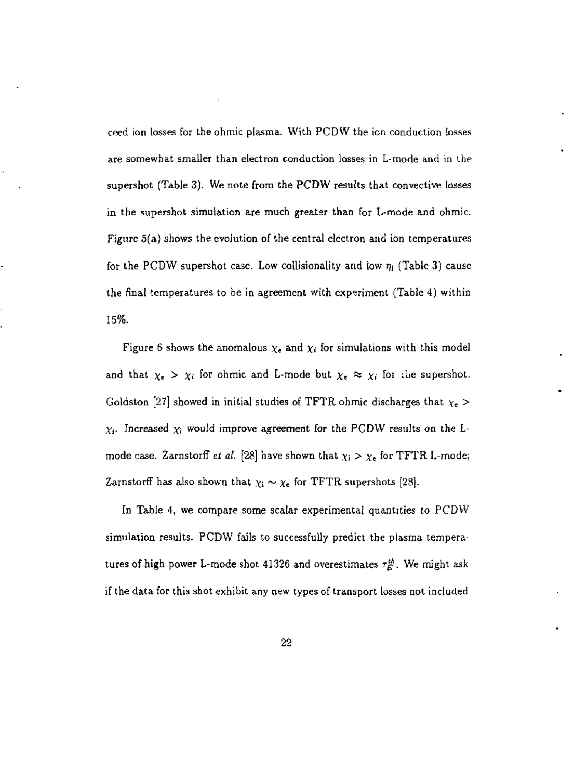ceed ion losses for the ohmic plasma. With PCDW the ion conduction losses are somewhat smaller than electron conduction losses in L-mode and in the supershot (Table 3). We note from the PCDW results that convective losses in the supershot simulation are much greater than for L-mode and ohmic. Figure 5(a) shows the evolution of the central electron and ion temperatures for the PCDW supershot case. Low collisionality and low  $\eta_i$  (Table 3) cause the final temperatures to be in agreement with experiment (Table 4) within 15%.

ï

Figure 6 shows the anomalous  $\chi_e$  and  $\chi_i$  for simulations with this model and that  $\chi_e > \chi_i$  for ohmic and L-mode but  $\chi_e \approx \chi_i$  for the supershot. Goldston [27] showed in initial studies of TFTR ohmic discharges that *Xe* >  $\chi_i$ . Increased  $\chi_i$  would improve agreement for the PCDW results on the Lmode case. Zarnstorff *et al.* [28] have shown that  $\chi_i > \chi_e$  for TFTR L-mode; Zarnstorff has also shown that  $\chi_i \sim \chi_c$  for TFTR supershots [28].

In Table 4, we compare some scalar experimental quantities to PCDW simulation results. PCDW fails to successfully predict the plasma temperatures of high power L-mode shot 41326 and overestimates  $\tau_E^{th}$ . We might ask if the data for this shot exhibit any new types of transport losses not included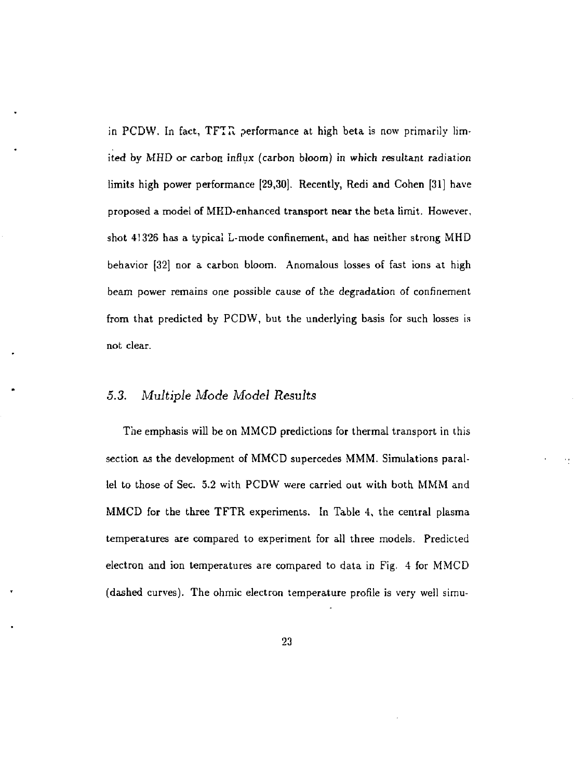in PCDW. In fact,  $TFTR$  performance at high beta is now primarily limited by MHD or carbon influx (carbon bloom) in which resultant radiation limits high power performance [29,30]. Recently, Redi and Cohen [31] have proposed a model of MKD-enhanced transport near the beta limit. However, shot 41326 has a typical L-mode confinement, and has neither strong MHD behavior [32] nor a carbon bloom. Anomalous losses of fast ions at high beam power remains one possible cause of the degradation of confinement from that predicted by PCDW, but the underlying basis for such losses is not clear.

#### *5.3. Multiple Mode Model Results*

The emphasis will be on MMCD predictions for thermal transport in this section as the development of MMCD supercedes MMM. Simulations parallel to those of Sec. 5.2 with PCDW were carried out with both MMM and MMCD for the three TFTR experiments. In Table 4, the central plasma temperatures are compared to experiment for all three models. Predicted electron and ion temperatures are compared to data in Fig. 4 for MMCD (dashed curves). The ohmic electron temperature profile is very weil simu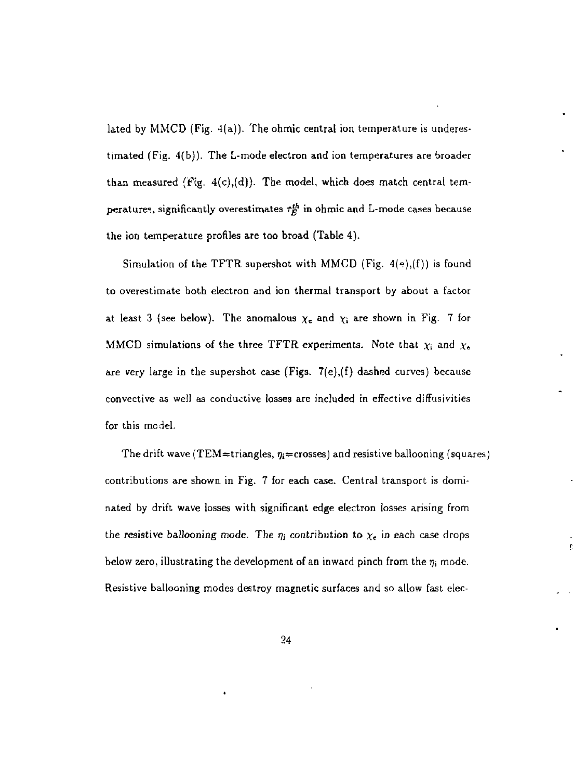lated by MMCD (Fig. 4(a)). The ohmic central ion temperature is underestimated (Fig. 4(b)). The L-mode electron and ion temperatures are broader than measured (Fig.  $4(c)$ ,(d)). The model, which does match central temperatures, significantly overestimates  $\tau_E^{th}$  in ohmic and L-mode cases because the ion temperature profiles are too broad (Table 4).

Simulation of the TFTR supershot with MMCD (Fig.  $4(*)$ ,  $(f)$ ) is found to overestimate both electron and ion thermal transport by about a factor at least 3 (see below). The anomalous  $\chi_e$  and  $\chi_i$  are shown in Fig. 7 for MMCD simulations of the three TFTR experiments. Note that  $\chi_i$  and  $\chi_e$ are very large in the supershot case (Figs.  $7(e)$ , (f) dashed curves) because convective as well as conductive losses are included in effective diffusivities for this model.

The drift wave (TEM=triangles,  $\eta_i$ =crosses) and resistive ballooning (squares) contributions are shown in Fig. 7 for each case. Central transport is dominated by drift wave losses with significant edge electron losses arising from the resistive ballooning mode. The  $\eta_i$  contribution to  $\chi_{\mathbf{c}}$  in each case drops below zero, illustrating the development of an inward pinch from the  $\eta_i$  mode. Resistive ballooning modes destroy magnetic surfaces and so allow fast elec-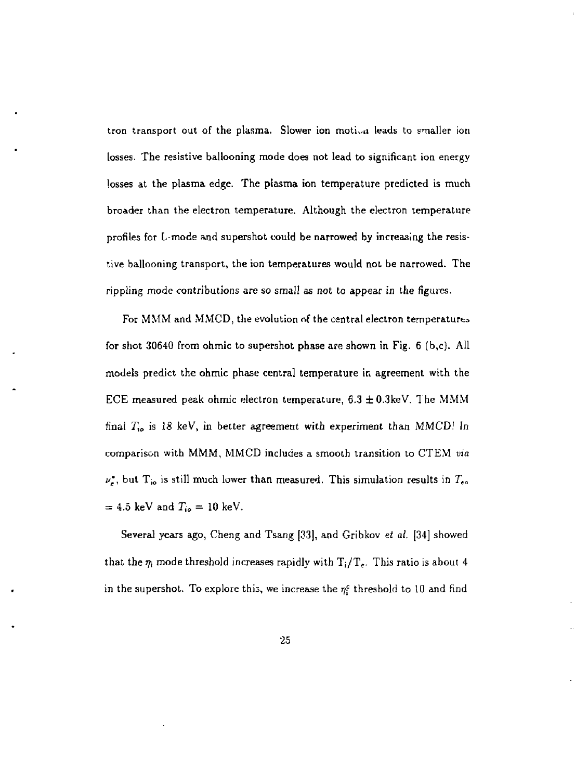tron transport out of the plasma. Slower ion motion leads to smaller ion losses. The resistive ballooning mode does not lead to significant ion energy losses at the plasma edge. The plasma ion temperature predicted is much broader than the electron temperature. Although the electron temperature profiles for L-mode and supershot could be narrowed by increasing the resistive ballooning transport, the ion temperatures would not be narrowed. The rippling mode contributions are so small as not to appear in the figures.

For MMM and MMCD, the evolution *nf* the central electron temperature^ for shot 30640 from ohmic to supershot phase are shown in Fig. 6 (b,c). All models predict the ohmic phase central temperature in agreement with the ECE measured peak ohmic electron temperature,  $6.3 \pm 0.3$ keV. The MMM final *Ti<sup>0</sup>* is 18 keV, in better agreement with experiment than MMCD! In comparison with MMM, MMCD includes a smooth transition to CTEM *via*   $\nu_e$ , but T<sub>io</sub> is still much lower than measured. This simulation results in  $T_{eo}$  $= 4.5$  keV and  $T_{io} = 10$  keV.

Several years ago, Cheng and Tsang [33], and Gribkov *et al.* [34] showed that the  $\eta_i$  mode threshold increases rapidly with  $T_i/T_e$ . This ratio is about 4 in the supershot. To explore this, we increase the *rfi* threshold to 10 and find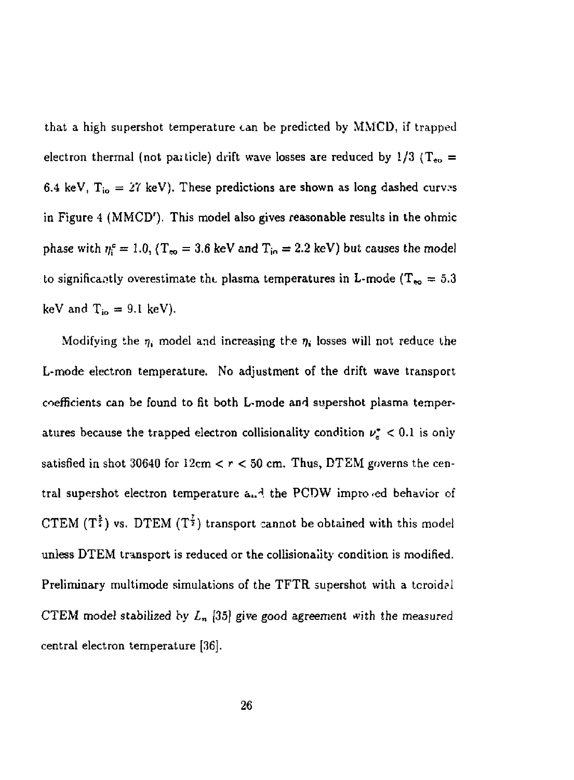that a high supershot temperature can be predicted by MMCD, if trapped electron thermal (not particle) drift wave losses are reduced by  $1/3$  ( $T_{\rm eo}$  = 6.4 keV,  $T_{io} = 27$  keV). These predictions are shown as long dashed curves in Figure 4 (MMCD'). This model also gives reasonable results in the ohmic phase with  $\eta_i^c = 1.0$ , (T<sub>co</sub> = 3.6 keV and T<sub>io</sub> = 2.2 keV) but causes the model to significantly overestimate the plasma temperatures in L-mode (T<sub>so</sub> = 5.3) keV and  $T_{io} = 9.1 \text{ keV}$ ).

Modifying the  $\eta_i$  model and increasing the  $\eta_i$  losses will not reduce the L-mode electron temperature, No adjustment of the drift wave transport coefficients can be found to fit both L-mode and supershot plasma temperatures because the trapped electron collisionality condition  $\nu_e^* < 0.1$  is only satisfied in shot 30640 for  $12 \text{cm} < r < 50 \text{cm}$ . Thus, DTEM governs the central supershot electron temperature a..<sup>4</sup> the PCDW impro ed behavior of CTEM (T<sup>2</sup>) vs. DTEM (T<sup>2</sup>) transport cannot be obtained with this model unless DTEM transport is reduced or the collisionaiity condition is modified. Preliminary multimode simulations of the TFTR supershot with a tcroidal CTEM model stabilized by  $L_n$  [35] give good agreement with the measured central electron temperature [36].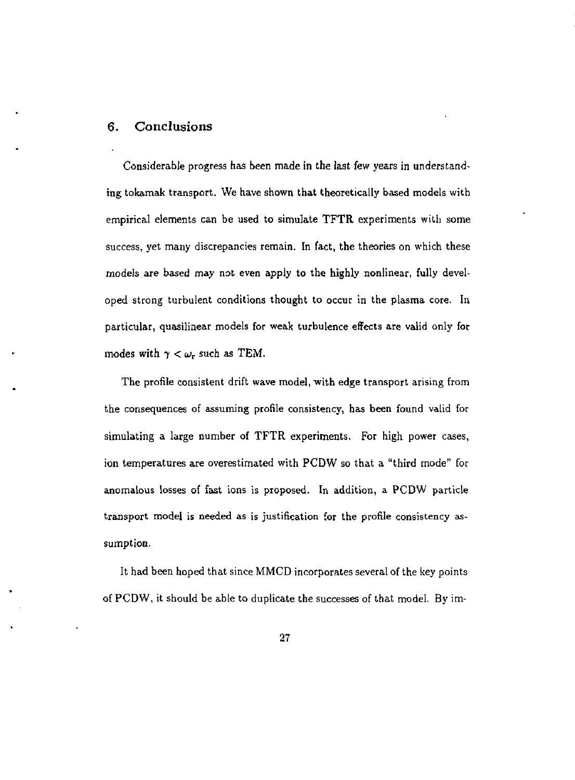#### 6. Conclusions

Considerable progress has been made in the last few years in understanding tokamak transport. We have shown that theoretically based models with empirical elements can be used to simulate TFTR experiments with some success, yet many discrepancies remain. In fact, the theories on which these models are based may not even apply to the highly nonlinear, fully developed strong turbulent conditions thought to occur in the plasma core. In particular, quasilinear models for weak turbulence effects are valid only for modes with  $\gamma < \omega_{\rm r}$  such as TEM.

The profile consistent drift wave model, with edge transport arising from the consequences of assuming profile consistency, has been found valid for simulating a large number of TFTR experiments. For high power cases, ion temperatures are overestimated with PCDW so that a "third mode" for anomalous losses of fast ions is proposed. In addition, a PCDW particle transport model is needed as is justification for the profile consistency assumption.

It had been hoped that since MMCD incorporates several of the key points of PCDW, it should be able to duplicate the successes of that model. By im-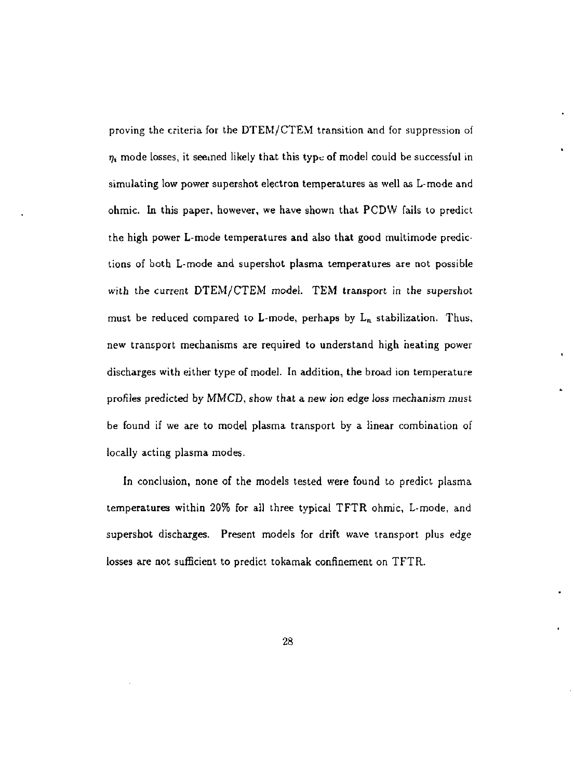proving the criteria for the DTEM/CTEM transition and for suppression of  $\eta_i$  mode losses, it seemed likely that this type of model could be successful in simulating low power supershot electron temperatures as well as L-mode and ohmic. In this paper, however, we have shown that PCDW fails to predict the high power L-mode temperatures and also that good multimode predictions of both L-mode and supershot plasma temperatures are not possible with the current DTEM/CTEM model. TEM transport in the supershot must be reduced compared to L-mode, perhaps by  $L_n$  stabilization. Thus, new transport mechanisms are required to understand high heating power discharges with either type of model. In addition, the broad ion temperature profiles predicted by MMCD, show that a new ion edge loss mechanism must be found if we are to model plasma transport by a linear combination of locally acting plasma modes.

In conclusion, none of the models tested were found to predict plasma temperatures within 20% for all three typical TFTR ohmic, L-mode, and supershot discharges. Present models for drift wave transport plus edge losses are not sufficient to predict tokamak confinement on TFTR.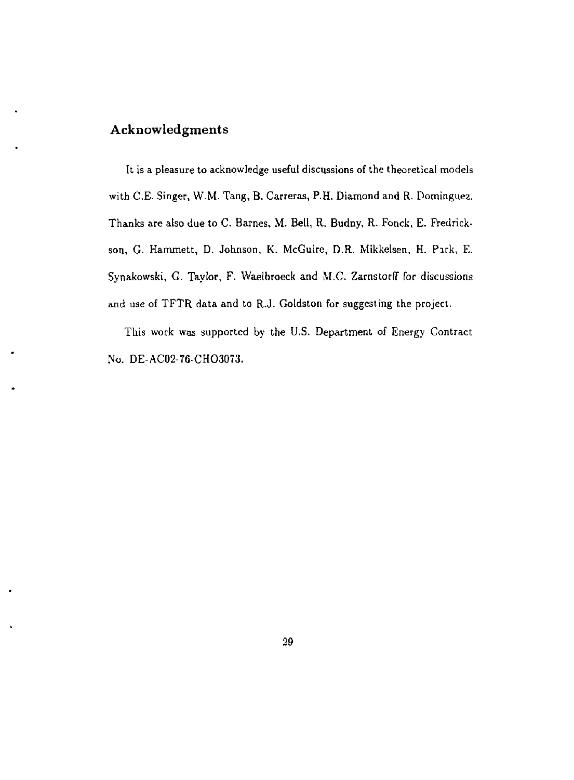## Acknowledgments

It is a pleasure to acknowledge useful discussions of the theoretical models with C.E. Singer, W.M. Tang, B. Carreras, P.H. Diamond and R. Dominguea. Thanks are also due to C. Barnes, M. Bell, R. Budny, R. Fonck, E. Fredrickson, G. Hammett, D. Johnson, K. McGuire, D.R. Mikkelsen, H. Park, E. Synakowski, G. Taylor, F. Waelbroeck and M.C. Zamstorff for discussions and use of TFTR data and to R.J. Goldston for suggesting the project.

This work was supported by the U.S. Department of Energy Contract No. DE-AC02-76-CHO3073.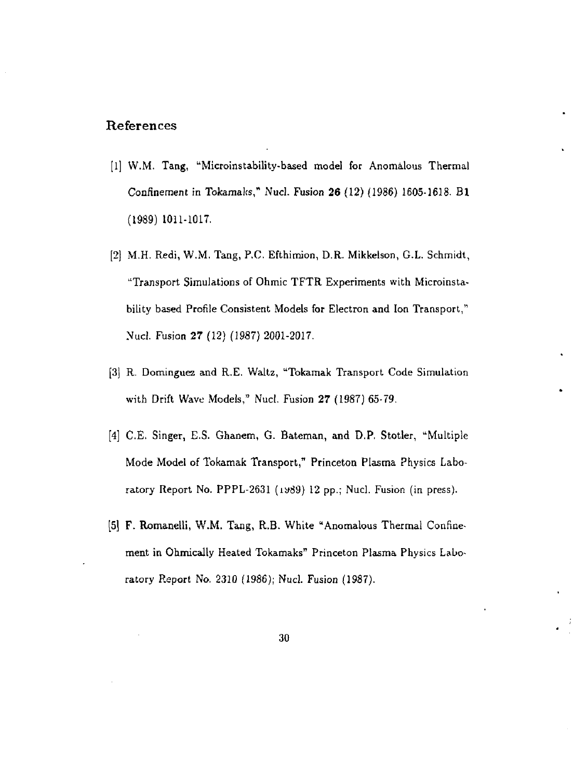#### References

- [1] W.M. Tang, "Microinstability-based model for Anomalous Thermal Confinement in Tokamaks," Nucl. Fusion 26 (12) (1986) 1605-1618. Bl (1989) 1011-1017.
- [2] M.H. Redi, W.M. Tang, P.C. Efthimion, D.R. Mikkelson, G.L. Schmidt, "Transport Simulations of Ohmic TFTR Experiments with Microinstability based Profile Consistent Models for Electron and Ion Transport," Nucl. Fusion 27 (12) (1987) 2001-2017.
- [3j R. Dominguez and R.E. Waltz, "Tokamak Transport Code Simulation with Drift Wave Models," Nucl. Fusion 27 (1987) 65-79.
- [4] C.E. Singer, E.S. Ghanem, G. Bateman, and D.P, Stotler, "Multiple Mode Model of Tokamak Transport," Princeton Plasma Physics Laboratory Report No. PPPL-2631 (1989) 12 pp.; Nucl. Fusion (in press).
- [5] F. Romanelli, W.M. Tang, R.B. White "Anomalous Thermal Confinement in Ohmically Heated Tokamaks" Princeton Plasma Physics Laboratory Report No. 2310 (1986); Nucl. Fusion (1987).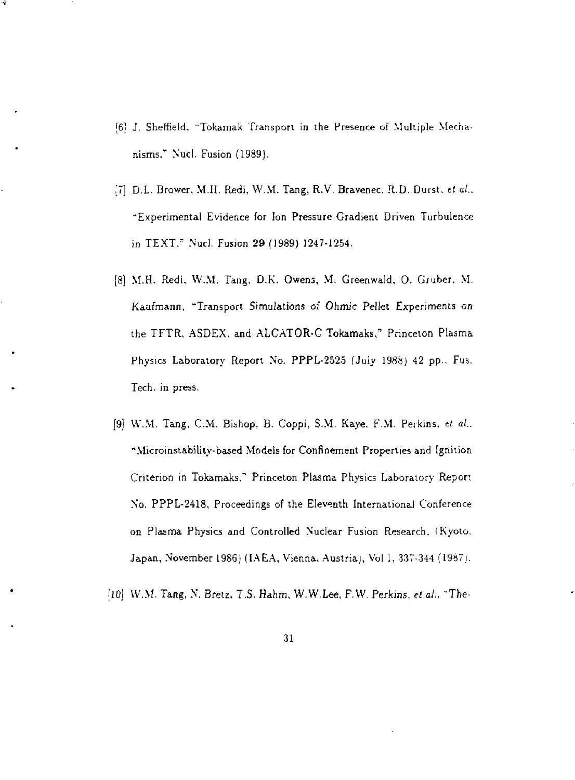- ?6! J. Sheffield, "Tokamak Transport in the Presence of Multiple Mechanisms." Nucl, Fusion (1989).
- [7] D.L. Brower, M.H. Redi, VV.M. Tang, R.V. Bravenec, R.D. Durst, *tt al..*  "Experimental Evidence for [on Pressure Gradient Driven Turbulence in TEXT." Nucl. Fusion 29 (1989) 1247-1254.
- [8] M.H. Redi, W.M. Tang, D.K. Owens, M. Greenwald, 0. Gruber. M. Kaufmann, "Transport Simulations of *Ohmic* Pellet Experiments *on*  the TFTR, ASDEX. and ALCATOR-C Tokamaks," Princeton Plasma Physics Laboratory Report No. PPPL-2525 (July 1988) 42 pp.. Fus. Tech. in press,
- {9} W.M. Tang, CM. Bishop, B. Coppi, S.M. Kaye. F.M. Perkins, *tt at..*  "Microinstability-based Models for Confinement Properties and Ignition Criterion in Tokamaks." Princeton Plasma Physics Laboratory Report No. PPPL-2418, Proceedings of the Eleventh International Conference on Plasma Physics and Controlled Nuclear Fusion Research. (Kyoto. Japan, November 1986) (IAEA, Vienna. Austria), Vol 1, 337-344 (1987).
- ;10] VV.M. Tang, N. Bretz. *l.S.* Hahm, W.W.Lee, F.W. Perkins, *et al..* "The-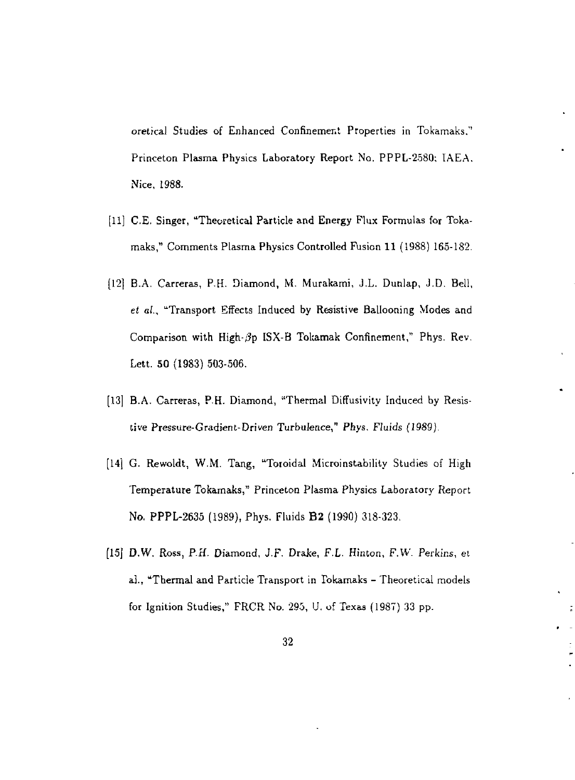oretical Studies of Enhanced Confinement Properties in Tokamaks.'' Princeton Plasma Physics Laboratory Report No. PPPL-2580; IAEA. Nice, 1988.

- [11] C.E. Singer, "Theoretical Particle and Energy Flux Formulas for Tokamaks/' Comments Plasma Physics Controlled Fusion 11 (1988) 165-182.
- (121 B-A. Carreras, P.H. Diamond, M. Murakami, J.L. Dunlap, J.D. Bell, *et* a/., "Transport Effects Induced by Resistive Ballooning Modes and Comparison with High- $\beta$ p ISX-B Tokamak Confinement," Phys. Rev. Lett. 50 (1983) 503-506.
- [13] B.A. Carreras, P.H. Diamond, "Thermal Diffusivity Induced by Resistive Pressure-Gradient-Driven Turbulence," Phys. Fluids (1989).
- [14] G. Rewoldt, W.M. Tang, "Toroidal Microinstability Studies of High Temperature Tokamaks," Princeton Plasma Physics Laboratory Report No. PPPL-2635 (1989), Phys. Fluids B2 (1990) 318-323.
- [15J *D.W.* Ross, P.H. Diamond, J.F. Drake, F.L. Hinton, *F.W.* Perkins, et al., "Thermal and Particle Transport in Tokamaks - Theoretical models for Ignition Studies," FRCR No. 295, U. of Texas (1987) 33 pp.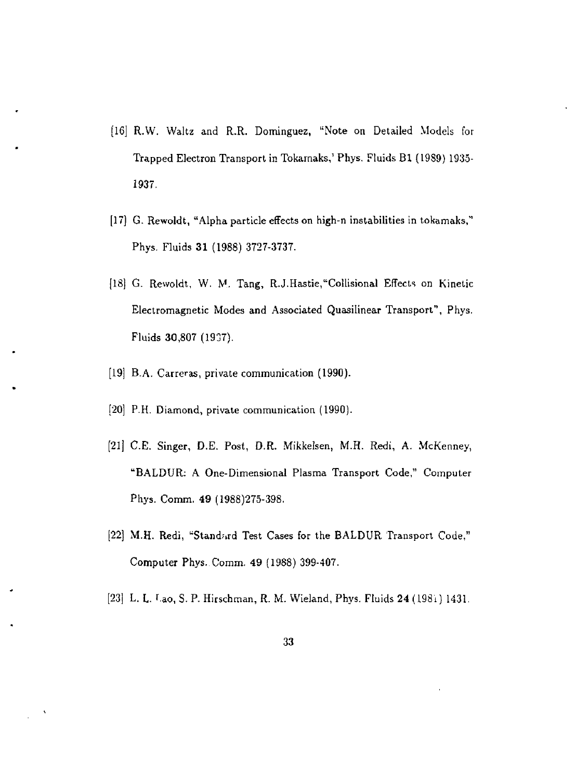- [16] R.W. Waltz and R.R. Dominguez, "Note on Detailed Models for Trapped Electron Transport in Tokamaks,' Phys, Fluids Bl (19S9) 1935- 1937.
- [17] G. Rewoldt, "Alpha particle effects on high-n instabilities in tokamaks," Phys. Fluids 31 (1988) 3727-3737.
- [18) G. Rewoldt, W. M. Tang, R.J.Hastie,"Collisional Effects on Kinetic Electromagnetic Modes and Associated Quasilinear Transport", Phys. Fluids 30,807 (1937).
- [19] B.A. Carreras, private communication (1990).
- [20] P.H. Diamond, private communication (1990).
- [21] C.E. Singer, D.E. Post, D.R. Mikkelsen, M.H. Redi, A. McKenney, "BALDUR: A One-Dimensional Plasma Transport Code," Computer Phys. Comm. 49 (1988)275-398.
- [22] M.H. Redi, "Standard Test Cases for the BALDUR Transport Code." Computer Phys. Comm. 49 (1988) 399-407.
- [23] L. L. r.ao, S. P. Hirschman, R. M. Wieland, Phys. Fluids 24 (198i) 1431.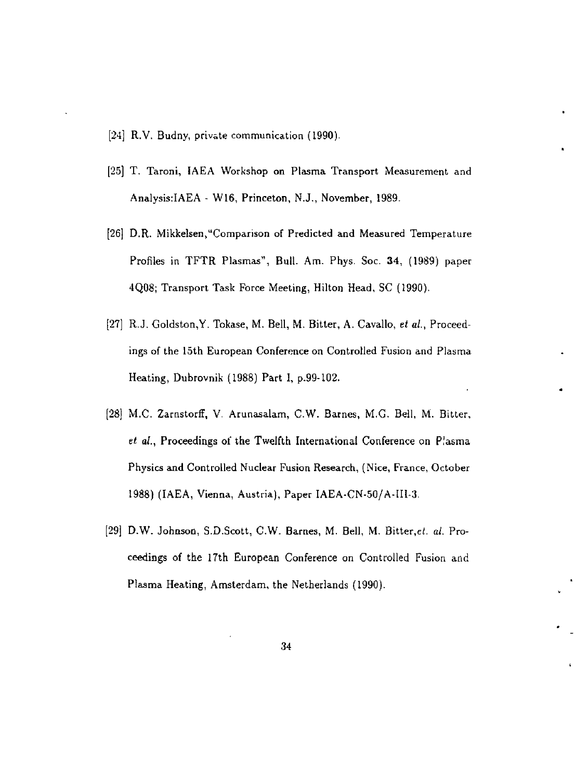- [24] R.V. Budny, private communication (1990).
- [25] T. Taroni, IAEA Workshop on Plasma Transport Measurement and Analysis:IAEA - W16, Princeton, N.J., November, 1989.
- [26] D.R. Mikkelsen,"Comparison of Predicted and Measured Temperature Profiles in TFTR Plasmas", Bull. Am. Phys. Soc. 34, (1989) paper 4Q08; Transport Task Force Meeting, Hilton Head, SC (1990).
- [27] R.J. Goldston,Y. Tokase, M. Bell, M. Bitter, A. Cavalb, *et al.,* Proceedings of the 15th European Conference on Controlled Fusion and Plasma Heating, Dubrovnik (1988) Part I, p.99-102.
- [28] M.C. Zarnstorff, V. Arunasalam, C.W. Barnes, M.G. Bell, M. Bitter, et al., Proceedings of the Twelfth International Conference on Plasma Physics and Controlled Nuclear Fusion Research, (Nice, France, October 1988) (IAEA, Vienna, Austria), Paper IAEA-CN-50/A-1II-3.
- [29] D.W. Johnson, S.D.Scott, C.W. Barnes, M. Bell, M. Bitter,et. *al.* Proceedings of the 17th European Conference on Controlled Fusion and Plasma Heating, Amsterdam, the Netherlands (1990).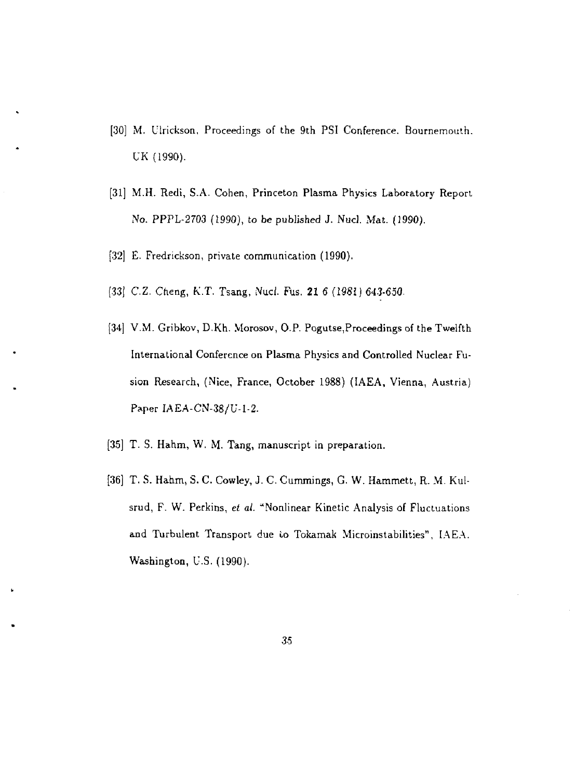- [30] M. Ulrickson, Proceedings of the 9th PSI Conference. Bournemouth. UK (1990).
- [31] M.H. Redi, S.A. Cohen, Princeton Plasma Physics Laboratory Report No. PPPL-2703 (1990), to be published J. Nucl. Mat. (1990).
- [32] E. Fredrickson, private communication (1990).
- [33] C.Z. Cheng, K.T. Tsang, Nucl. Fus. 21 6 (1981) 643-630.
- [34] V.M. Gribkov, D.Kh. Morosov, O.P. Pogutse, Proceedings of the Twelfth International Conference on Plasma Physics and Controlled Nuclear Fusion Research, (Nice, France, October 1988) (IAEA, Vienna, Austria) Paper IAEA-CN-38/U-1-2.
- [35] T. S. Hahm, W. M. Tang, manuscript in preparation.
- [36] T. S. Hahm, 5. C. Cowley, J. C. Cummings, G. W. Hammett, R. M. Kulsrud, F. W. Perkins, *et al.* "Nonlinear Kinetic Analysis of Fluctuations and Turbulent Transport due to Tokamak Microinstabilities", IAEA. Washington, U.S. (1990).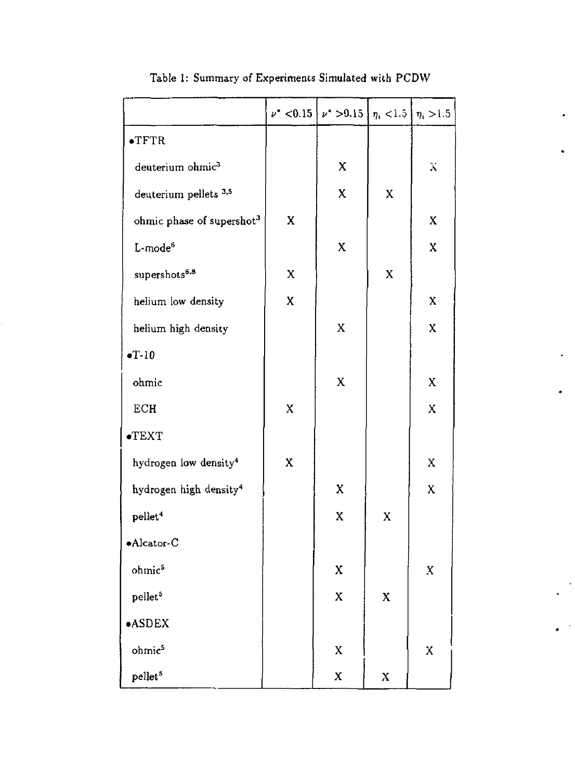|                                       |   | $\nu^*$ < 0.15 $\nu^*$ > 0.15 | $\eta_i$ < 1.5 | $\eta_i > 1.5$ |
|---------------------------------------|---|-------------------------------|----------------|----------------|
| $\bullet$ TFTR                        |   |                               |                |                |
| deuterium ohmic <sup>3</sup>          |   | X                             |                | Х              |
| deuterium pellets <sup>3,5</sup>      |   | X                             | X              |                |
| ohmic phase of supershot <sup>3</sup> | X |                               |                | X              |
| L-mode <sup>6</sup>                   |   | X                             |                | X              |
| supershots <sup>6,8</sup>             | X |                               | X              |                |
| helium low density                    | X |                               |                | $\mathbf X$    |
| helium high density                   |   | X                             |                | X              |
| $\bullet T - 10$                      |   |                               |                |                |
| ohmic                                 |   | X                             |                | X              |
| ECH                                   | X |                               |                | X              |
| $\bullet$ TEXT                        |   |                               |                |                |
| hydrogen low density <sup>4</sup>     | X |                               |                | X              |
| hydrogen high density <sup>4</sup>    |   | X                             |                | X              |
| pellet <sup>4</sup>                   |   | X                             | X              |                |
| $\bullet$ Alcator-C                   |   |                               |                |                |
| ohmic <sup>5</sup>                    |   | X                             |                | X              |
| pellet <sup>5</sup>                   |   | X                             | X              |                |
| <b>•ASDEX</b>                         |   |                               |                |                |
| ohmic <sup>5</sup>                    |   | X                             |                | X              |
| pellet <sup>5</sup>                   |   | X                             | X              |                |

Table 1: Summary of Experiments Simulated with PCDW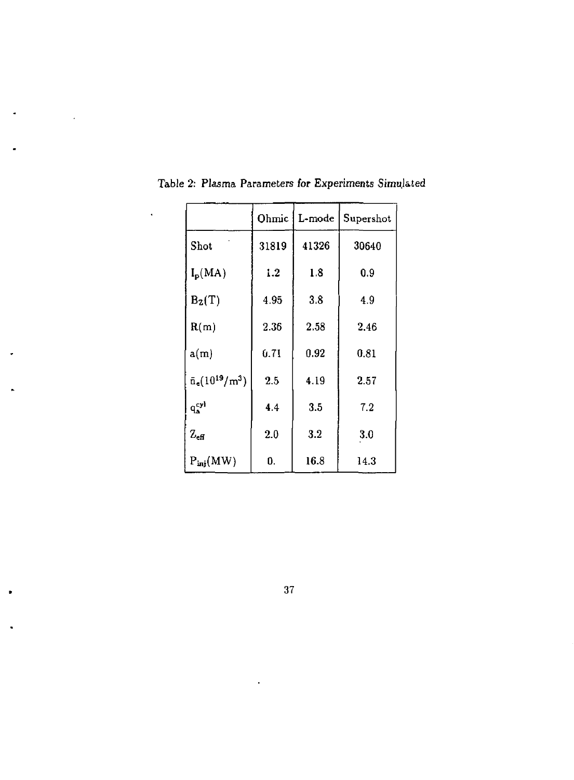|                              | Ohmic | L-mode | Supershot |
|------------------------------|-------|--------|-----------|
| Shot                         | 31819 | 41326  | 30640     |
| $I_{\rm p}(\rm MA)$          | 1.2   | 1.8    | 0.9       |
| $B_{Z}(T)$                   | 4.95  | 3.8    | 4.9       |
| R(m)                         | 2.36  | 2.58   | 2.46      |
| a(m)                         | 0.71  | 0.92   | 0.81      |
| $\bar{n}_{e}(10^{19}/m^{3})$ | 2.5   | 4.19   | 2.57      |
| $q_{\rm a}^{\rm cyl}$        | 4.4   | 3.5    | 7.2       |
| $Z_{\rm eff}$                | 2.0   | 3.2    | 3.0       |
| $P_{\text{ini}}(MW)$         | 0.    | 16.8   | 14.3      |

Table 2: Plasma Parameters for Experiments Simulated

 $\ddot{\phantom{0}}$ 

**37**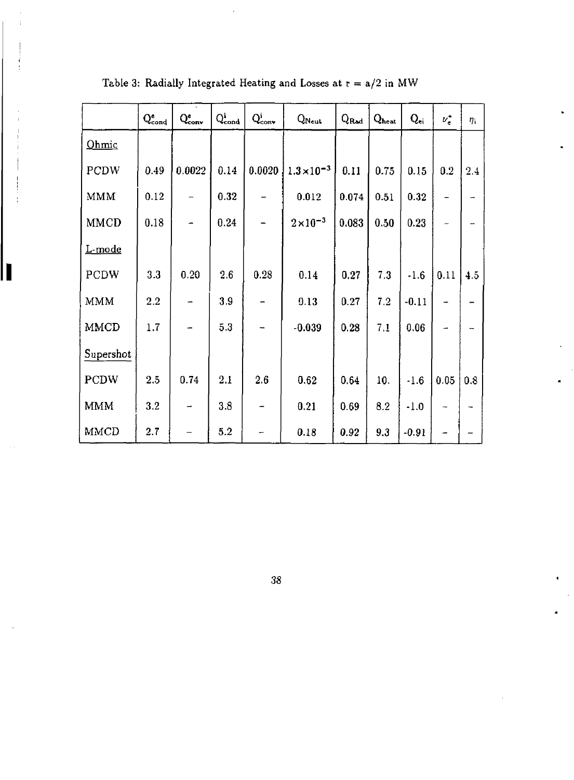|             | $Q_{\rm cond}^{\rm e}$ | $Q_{\rm conv}^{\rm e}$ | $Q_{cond}^{i}$ | $Q_{\text{conv}}^i$ | $Q_{\text{Neut}}$    | $Q_{\rm Rad}$ | $Q_{heat}$ | $Q_{ei}$ | $\nu_e$           | $\eta_{\rm i}$ |
|-------------|------------------------|------------------------|----------------|---------------------|----------------------|---------------|------------|----------|-------------------|----------------|
| Ohmic       |                        |                        |                |                     |                      |               |            |          |                   |                |
| PCDW        | 0.49                   | 0.0022                 | 0.14           | 0.0020              | $1.3 \times 10^{-3}$ | 0.11          | 0.75       | 0.15     | 0.2               | 2.4            |
| MMM         | 0.12                   |                        | 0.32           |                     | 0.012                | 0.074         | 0.51       | 0.32     | -                 |                |
| <b>MMCD</b> | 0.18                   |                        | 0.24           |                     | $2\times10^{-3}$     | 0.083         | 0.50       | 0.23     | $\qquad \qquad -$ |                |
| L-mode      |                        |                        |                |                     |                      |               |            |          |                   |                |
| PCDW        | 3.3                    | 0.20                   | 2.6            | 0.28                | 0.14                 | 0.27          | 7.3        | $-1.6$   | 0.11              | 4.5            |
| <b>MMM</b>  | 2.2                    |                        | 3.9            |                     | 0.13                 | 0.27          | 7.2        | $-0.11$  |                   |                |
| MMCD        | 1.7                    |                        | 5.3            | ۰.                  | $-0.039$             | 0.28          | 7.1        | 0.06     |                   |                |
| Supershot   |                        |                        |                |                     |                      |               |            |          |                   |                |
| <b>PCDW</b> | 2.5                    | 0.74                   | 2.1            | 2.6                 | 0.62                 | 0.64          | 10.        | $-1.6$   | 0.05              | 0.8            |
| <b>MMM</b>  | 3.2                    |                        | 3.8            |                     | 0.21                 | 0.69          | 8.2        | $-1.0$   | $\rightarrow$     |                |
| MMCD        | 2.7                    |                        | 5.2            |                     | 0.18                 | 0.92          | 9.3        | $-0.91$  |                   |                |

Γ

Table 3: Radially Integrated Heating and Losses at  $r = a/2$  in MW

38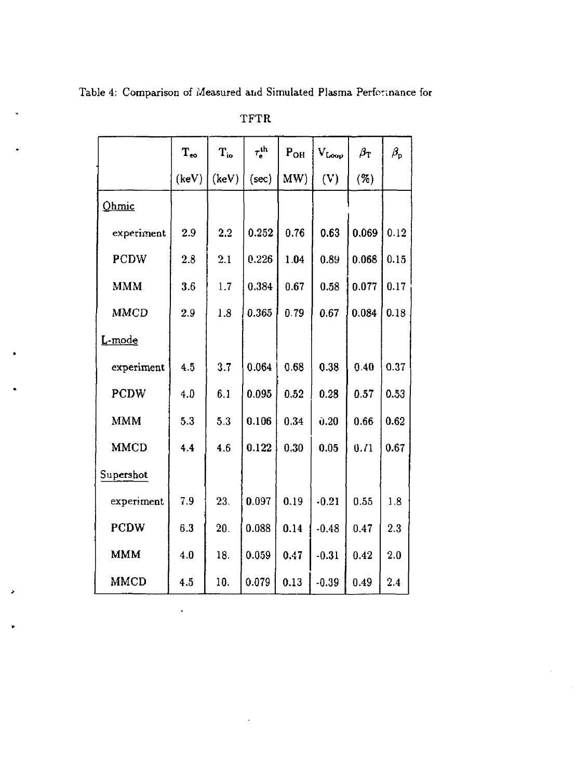Table 4: Comparison of Measured and Simulated Plasma Performance for

|             | $\rm T_{eo}$ | $\mathbf{T}_{\mathrm{io}}$ | $\tau_{\rm e}^{\rm th}$ | P <sub>OH</sub> | $\rm V_{Loop}$ | $\beta_{\rm T}$ | $\beta_{\rm p}$ |
|-------------|--------------|----------------------------|-------------------------|-----------------|----------------|-----------------|-----------------|
|             | (keV)        | (keV)                      | (sec)                   | MW)             | (V)            | ( %)            |                 |
| Ohmic       |              |                            |                         |                 |                |                 |                 |
| experiment  | 2.9          | 2.2                        | 0.252                   | 0.76            | 0.63           | 0.069           | 0.12            |
| PCDW        | 2.8          | 2.1                        | 0.226                   | 1.04            | 0.89           | 0.068           | 0.15            |
| <b>MMM</b>  | 3.6          | 1.7                        | 0.384                   | 0.67            | 0.58           | 0.077           | 0.17            |
| <b>MMCD</b> | 2.9          | 1.8                        | 0.365                   | 0.79            | 0.67           | 0.084           | 0.18            |
| L-mode      |              |                            |                         |                 |                |                 |                 |
| experiment  | 4.5          | 3.7                        | 0.064                   | 0.68            | 0.38           | 0.40            | 0.37            |
| <b>PCDW</b> | 4.0          | 6.1                        | 0.095                   | 0.52            | 0.28           | 0.57            | 0.53            |
| <b>MMM</b>  | 5.3          | 5.3                        | 0.106                   | 0.34            | 0.20           | 0.66            | 0.62            |
| <b>MMCD</b> | 4.4          | 4.6                        | 0.122                   | 0.30            | 0.05           | 0.71            | 0.67            |
| Supershot   |              |                            |                         |                 |                |                 |                 |
| experiment  | 7.9          | 23.                        | 0.097                   | 0.19            | $-0.21$        | 0.55            | 1.8             |
| <b>PCDW</b> | 6.3          | 20.                        | 0.088                   | 0.14            | $-0.48$        | 0.47            | 2.3             |
| MMM         | 4.0          | 18.                        | 0.059                   | 0.47            | $-0.31$        | 0.42            | 2.0             |
| MMCD        | 4.5          | 10.                        | 0.079                   | 0.13            | $-0.39$        | 0.49            | 2.4             |

 $\blacksquare$ 

**TFTR**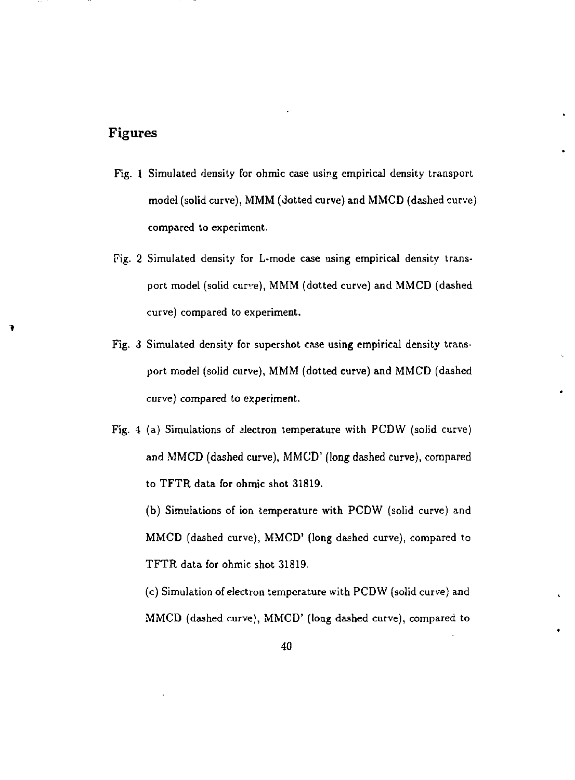## Figures

- Fig. 1 Simulated density for ohmic case using empirical density transport model (solid curve), MMM (dotted curve) and MMCD (dashed curve) compared to experiment.
- Fig. 2 Simulated density for L-mode case using empirical density transport model (solid curve), MMM (dotted curve) and MMCD (dashed curve) compared to experiment.
- Fig. 3 Simulated density for supershot case using empirical density transport model (solid curve), MMM (dotted curve) and MMCD (dashed curve) compared to experiment.
- Fig. 4 (a) Simulations of alectron temperature with PCDW (solid curve) and MMCD (dashed curve), MMCD' (long dashed curve), compared to TFTR data for ohmic shot 31819.

(b) Simulations of ion temperature with PCDW (solid curve) and MMCD (dashed curve), MMCD' (long dashed curve), compared to TFTR data for ohmic shot 31819.

(c) Simulation of electron temperature with PCDW (solid curve) and MMCD (dashed curve), MMCD' (long dashed curve), compared to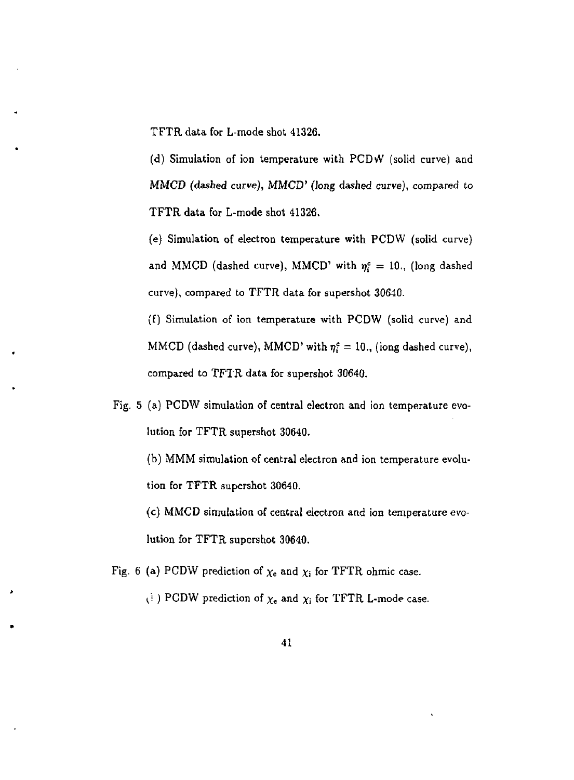TFTR data for L-mode shot 41326.

(d) Simulation of ion temperature with PCDvV (solid curve) and MMCD (dashed curve), MMCD' (long dashed curve), compared to TFTR data for L-mode shot 41326.

(e) Simulation of electron temperature with PCDW (solid curve) and MMCD (dashed curve), MMCD' with  $\eta_i^c = 10$ ., (long dashed curve), compared to TFTR data for supershot 30640.

(f) Simulation of ion temperature with PCDW (solid curve) and MMCD (dashed curve), MMCD' with  $\eta_i^c = 10$ ., (iong dashed curve), compared to TFTR data for supershot 30640.

Fig. 5 (a) PCDW simulation of central electron and ion temperature evolution for TFTR supershot 30640.

(b) MMM simulation of central electron and ion temperature evolution for TFTR supershot 30640.

(c) MMCD simulation of central electron and ion temperature evolution for TFTR supershot 30640.

Fig. 6 (a) PCDW prediction of  $\chi_e$  and  $\chi_i$  for TFTR ohmic case.

 $\chi_i$  ) PCDW prediction of  $\chi_e$  and  $\chi_i$  for TFTR L-mode case.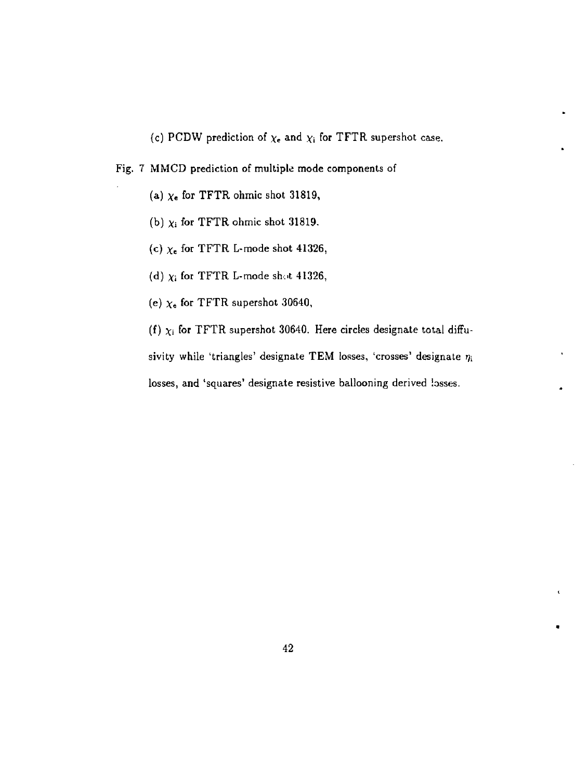(c) PCDW prediction of  $\chi_e$  and  $\chi_i$  for TFTR supershot case.

Fig. 7 MMCD prediction of multiple mode components of

- (a)  $\chi_e$  for TFTR ohmic shot 31819,
- (b)  $\chi_i$  for TFTR ohmic shot 31819.
- (c) *x<sup>e</sup>* for TFTR L-mode shot 41326,
- (d)  $\chi_{\rm i}$  for TFTR L-mode shot 41326,
- (e)  $\chi_{e}$  for TFTR supershot 30640,

(f)  $\chi_i$  for TFTR supershot 30640. Here circles designate total diffusivity while 'triangles' designate TEM losses, 'crosses' designate  $\eta_i$ losses, and 'squares' designate resistive ballooning derived losses.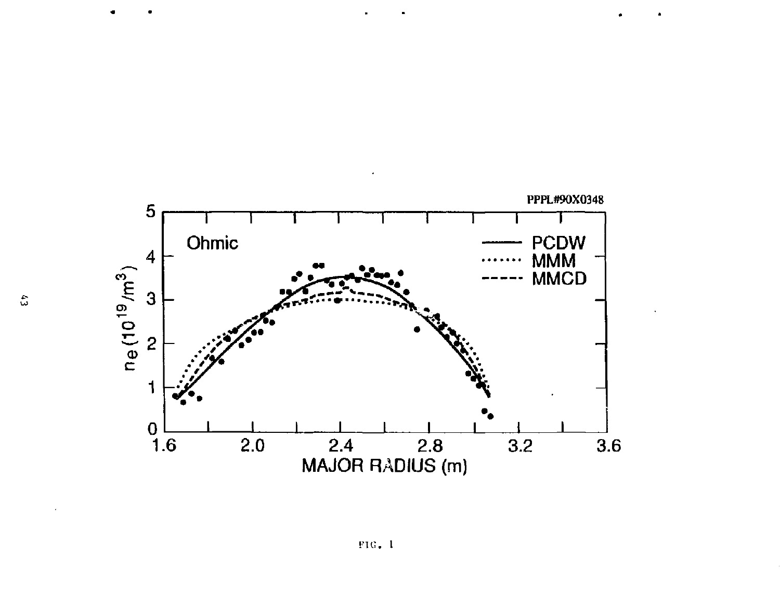

**FIG . 1**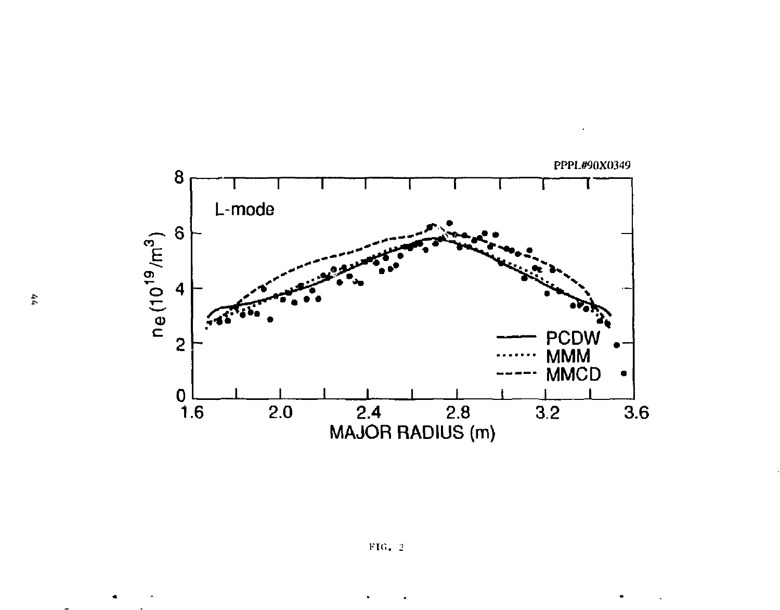

 $44\,$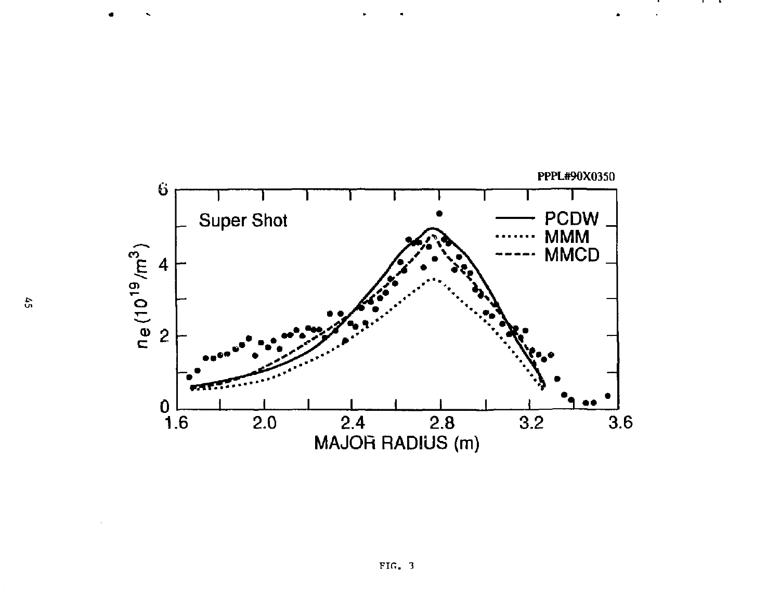

 $\cdots$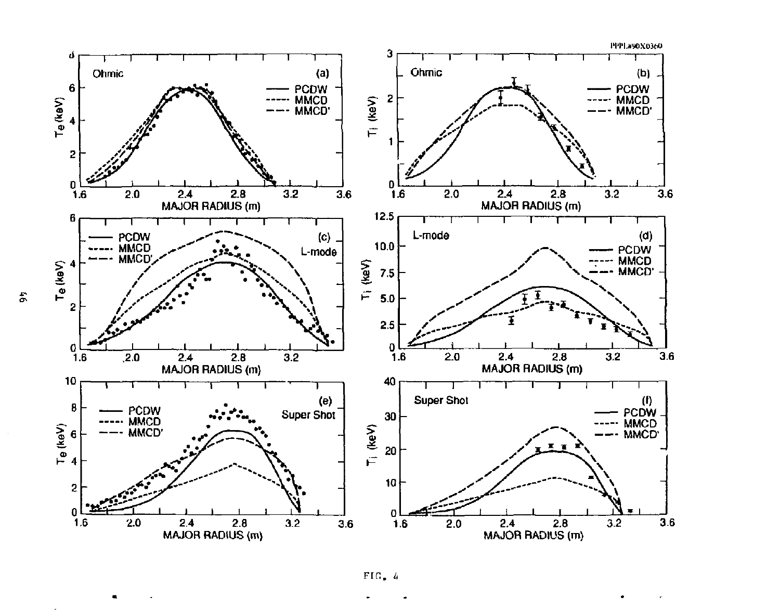



 $\ddot{x}$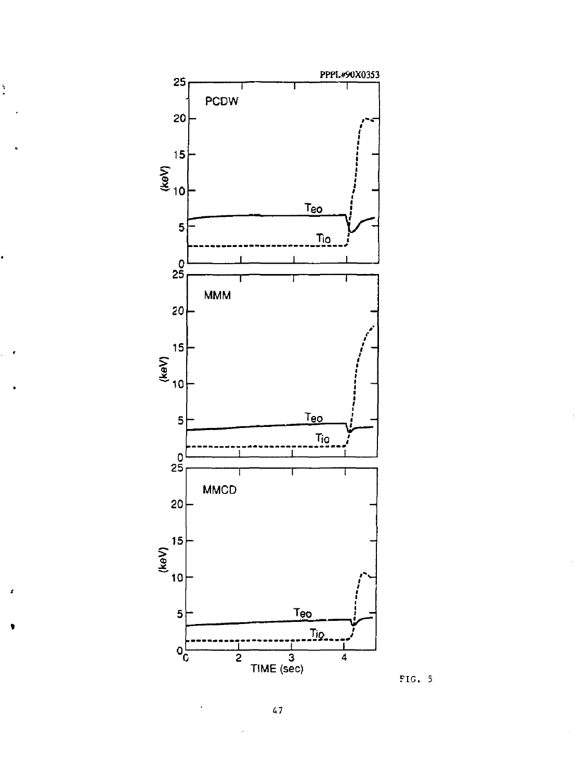

Ì

x



**47**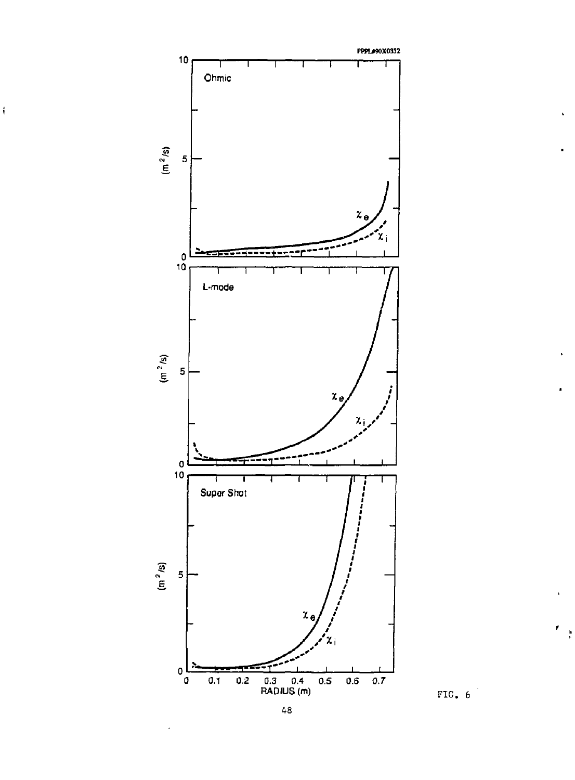

ţ